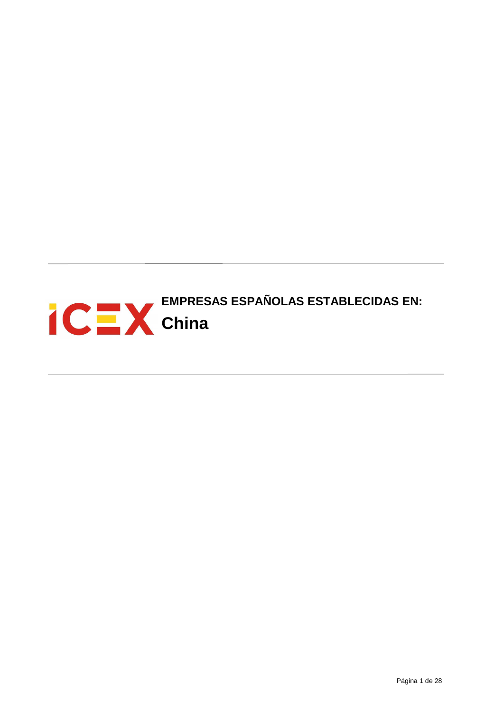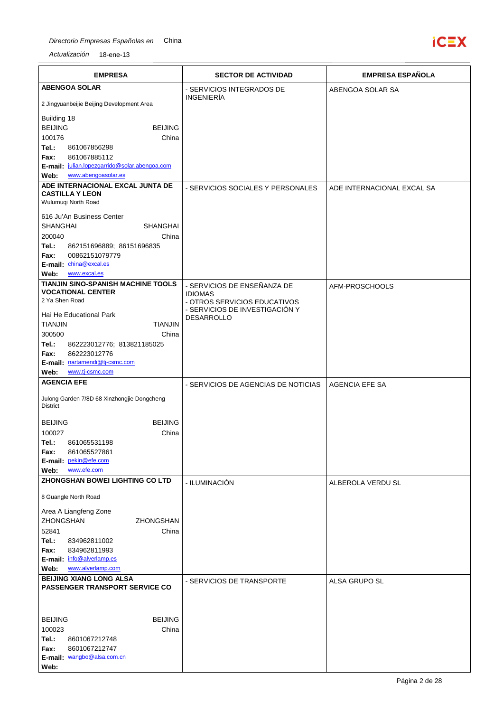

| <b>EMPRESA</b>                                                                                                        | <b>SECTOR DE ACTIVIDAD</b>                                     | <b>EMPRESA ESPAÑOLA</b>    |
|-----------------------------------------------------------------------------------------------------------------------|----------------------------------------------------------------|----------------------------|
| <b>ABENGOA SOLAR</b>                                                                                                  | - SERVICIOS INTEGRADOS DE<br><b>INGENIERÍA</b>                 | ABENGOA SOLAR SA           |
| 2 Jingyuanbeijie Beijing Development Area                                                                             |                                                                |                            |
| Building 18<br><b>BEIJING</b><br><b>BEIJING</b><br>100176<br>China                                                    |                                                                |                            |
| Tel.:<br>861067856298<br>861067885112<br>Fax:<br>E-mail: julian.lopezgarrido@solar.abengoa.com<br>www.abengoasolar.es |                                                                |                            |
| Web:<br>ADE INTERNACIONAL EXCAL JUNTA DE                                                                              |                                                                |                            |
| <b>CASTILLA Y LEON</b><br>Wulumuqi North Road                                                                         | - SERVICIOS SOCIALES Y PERSONALES                              | ADE INTERNACIONAL EXCAL SA |
| 616 Ju'An Business Center<br><b>SHANGHAI</b><br><b>SHANGHAI</b>                                                       |                                                                |                            |
| 200040<br>China                                                                                                       |                                                                |                            |
| Tel.:<br>862151696889, 86151696835                                                                                    |                                                                |                            |
| 00862151079779<br>Fax:<br>E-mail: china@excal.es                                                                      |                                                                |                            |
| www.excal.es<br>Web:                                                                                                  |                                                                |                            |
| TIANJIN SINO-SPANISH MACHINE TOOLS                                                                                    | - SERVICIOS DE ENSEÑANZA DE                                    | AFM-PROSCHOOLS             |
| <b>VOCATIONAL CENTER</b>                                                                                              | <b>IDIOMAS</b>                                                 |                            |
| 2 Ya Shen Road                                                                                                        | - OTROS SERVICIOS EDUCATIVOS<br>- SERVICIOS DE INVESTIGACIÓN Y |                            |
| Hai He Educational Park                                                                                               | <b>DESARROLLO</b>                                              |                            |
| <b>TIANJIN</b><br><b>TIANJIN</b>                                                                                      |                                                                |                            |
| 300500<br>China                                                                                                       |                                                                |                            |
| Tel.:<br>862223012776; 813821185025<br>862223012776<br>Fax:                                                           |                                                                |                            |
| E-mail: nartamendi@tj-csmc.com                                                                                        |                                                                |                            |
| www.tj-csmc.com<br>Web:                                                                                               |                                                                |                            |
| <b>AGENCIA EFE</b>                                                                                                    | - SERVICIOS DE AGENCIAS DE NOTICIAS                            | AGENCIA EFE SA             |
| Julong Garden 7/8D 68 Xinzhongjie Dongcheng<br><b>District</b>                                                        |                                                                |                            |
| <b>BEIJING</b><br><b>BEIJING</b>                                                                                      |                                                                |                            |
| 100027<br>China                                                                                                       |                                                                |                            |
| 861065531198<br>Tel.:                                                                                                 |                                                                |                            |
| Fax:<br>861065527861<br>E-mail: pekin@efe.com                                                                         |                                                                |                            |
| www.efe.com<br>Web:                                                                                                   |                                                                |                            |
| ZHONGSHAN BOWEI LIGHTING CO LTD                                                                                       | - ILUMINACIÓN                                                  | ALBEROLA VERDU SL          |
| 8 Guangle North Road                                                                                                  |                                                                |                            |
| Area A Liangfeng Zone                                                                                                 |                                                                |                            |
| ZHONGSHAN<br>ZHONGSHAN                                                                                                |                                                                |                            |
| 52841<br>China                                                                                                        |                                                                |                            |
| Tel.:<br>834962811002<br>Fax:<br>834962811993                                                                         |                                                                |                            |
| E-mail: info@alverlamp.es                                                                                             |                                                                |                            |
| www.alverlamp.com<br>Web:                                                                                             |                                                                |                            |
| <b>BEIJING XIANG LONG ALSA</b><br>PASSENGER TRANSPORT SERVICE CO                                                      | - SERVICIOS DE TRANSPORTE                                      | ALSA GRUPO SL              |
|                                                                                                                       |                                                                |                            |
| <b>BEIJING</b><br><b>BEIJING</b>                                                                                      |                                                                |                            |
| 100023<br>China                                                                                                       |                                                                |                            |
| Tel.:<br>8601067212748                                                                                                |                                                                |                            |
| 8601067212747<br>Fax:<br>E-mail: wangbo@alsa.com.cn                                                                   |                                                                |                            |
| Web:                                                                                                                  |                                                                |                            |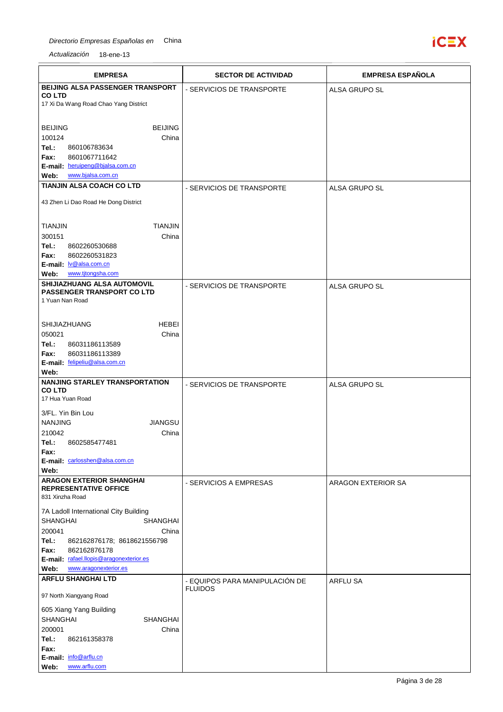

| <b>EMPRESA</b>                                               | <b>SECTOR DE ACTIVIDAD</b>     | <b>EMPRESA ESPAÑOLA</b> |
|--------------------------------------------------------------|--------------------------------|-------------------------|
| BEIJING ALSA PASSENGER TRANSPORT                             | - SERVICIOS DE TRANSPORTE      | ALSA GRUPO SL           |
| <b>COLTD</b><br>17 Xi Da Wang Road Chao Yang District        |                                |                         |
|                                                              |                                |                         |
| <b>BEIJING</b><br><b>BEIJING</b>                             |                                |                         |
| 100124<br>China                                              |                                |                         |
| Tel.:<br>860106783634                                        |                                |                         |
| 8601067711642<br>Fax:<br>E-mail: heruipeng@bjalsa.com.cn     |                                |                         |
| Web:<br>www.bjalsa.com.cn                                    |                                |                         |
| TIANJIN ALSA COACH CO LTD                                    | - SERVICIOS DE TRANSPORTE      | ALSA GRUPO SL           |
|                                                              |                                |                         |
| 43 Zhen Li Dao Road He Dong District                         |                                |                         |
| <b>TIANJIN</b><br>TIANJIN                                    |                                |                         |
| 300151<br>China                                              |                                |                         |
| Tel.:<br>8602260530688                                       |                                |                         |
| 8602260531823<br>Fax:                                        |                                |                         |
| E-mail: <b>Iv@alsa.com.cn</b><br>www.tjtongsha.com<br>Web:   |                                |                         |
| SHIJIAZHUANG ALSA AUTOMOVIL                                  | - SERVICIOS DE TRANSPORTE      | ALSA GRUPO SL           |
| <b>PASSENGER TRANSPORT CO LTD</b>                            |                                |                         |
| 1 Yuan Nan Road                                              |                                |                         |
| <b>HEBEI</b>                                                 |                                |                         |
| SHIJIAZHUANG<br>050021<br>China                              |                                |                         |
| Tel.:<br>86031186113589                                      |                                |                         |
| 86031186113389<br>Fax:                                       |                                |                         |
| E-mail: felipeliu@alsa.com.cn<br>Web:                        |                                |                         |
| <b>NANJING STARLEY TRANSPORTATION</b>                        | - SERVICIOS DE TRANSPORTE      | ALSA GRUPO SL           |
| <b>COLTD</b>                                                 |                                |                         |
| 17 Hua Yuan Road                                             |                                |                         |
| 3/FL. Yin Bin Lou                                            |                                |                         |
| <b>NANJING</b><br><b>JIANGSU</b><br>210042<br>China          |                                |                         |
| Tel.:<br>8602585477481                                       |                                |                         |
| Fax:                                                         |                                |                         |
| E-mail: carlosshen@alsa.com.cn<br>Web:                       |                                |                         |
| <b>ARAGON EXTERIOR SHANGHAI</b>                              | - SERVICIOS A EMPRESAS         | ARAGON EXTERIOR SA      |
| <b>REPRESENTATIVE OFFICE</b><br>831 Xinzha Road              |                                |                         |
| 7A Ladoll International City Building                        |                                |                         |
| <b>SHANGHAI</b><br>SHANGHAI                                  |                                |                         |
| 200041<br>China                                              |                                |                         |
| Tel.:<br>862162876178; 8618621556798<br>Fax:<br>862162876178 |                                |                         |
| E-mail: rafael.llopis@aragonexterior.es                      |                                |                         |
| Web:<br>www.aragonexterior.es                                |                                |                         |
| <b>ARFLU SHANGHAI LTD</b>                                    | - EQUIPOS PARA MANIPULACIÓN DE | <b>ARFLU SA</b>         |
| 97 North Xiangyang Road                                      | <b>FLUIDOS</b>                 |                         |
| 605 Xiang Yang Building                                      |                                |                         |
| <b>SHANGHAI</b><br><b>SHANGHAI</b>                           |                                |                         |
| 200001<br>China                                              |                                |                         |
| Tel.:<br>862161358378                                        |                                |                         |
| Fax:<br>E-mail: info@arflu.cn                                |                                |                         |
| www.arflu.com<br>Web:                                        |                                |                         |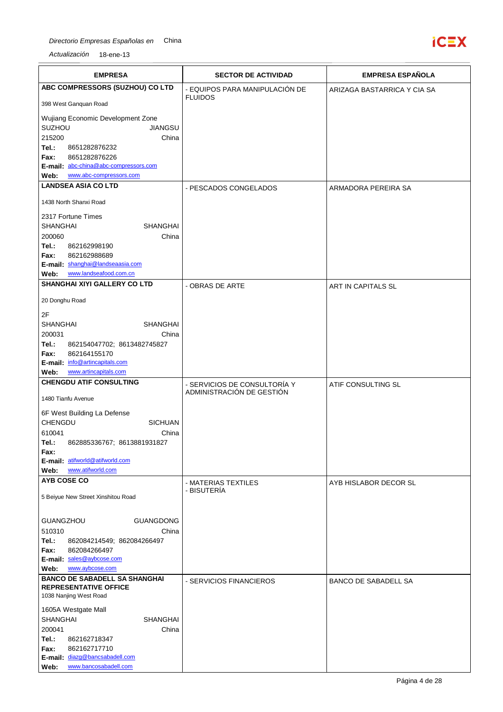## Directorio Empresas Españolas en China



| <b>EMPRESA</b>                                                     | <b>SECTOR DE ACTIVIDAD</b>         | <b>EMPRESA ESPAÑOLA</b>     |
|--------------------------------------------------------------------|------------------------------------|-----------------------------|
| ABC COMPRESSORS (SUZHOU) CO LTD                                    | - EQUIPOS PARA MANIPULACION DE     | ARIZAGA BASTARRICA Y CIA SA |
| 398 West Ganguan Road                                              | <b>FLUIDOS</b>                     |                             |
| Wujiang Economic Development Zone                                  |                                    |                             |
| <b>SUZHOU</b><br><b>JIANGSU</b>                                    |                                    |                             |
| 215200<br>China<br>Tel.:<br>8651282876232                          |                                    |                             |
| 8651282876226<br>Fax:                                              |                                    |                             |
| E-mail: abc-china@abc-compressors.com                              |                                    |                             |
| Web:<br>www.abc-compressors.com<br><b>LANDSEA ASIA CO LTD</b>      |                                    |                             |
|                                                                    | - PESCADOS CONGELADOS              | ARMADORA PEREIRA SA         |
| 1438 North Shanxi Road                                             |                                    |                             |
| 2317 Fortune Times<br><b>SHANGHAI</b><br><b>SHANGHAI</b>           |                                    |                             |
| 200060<br>China                                                    |                                    |                             |
| Tel.:<br>862162998190                                              |                                    |                             |
| 862162988689<br>Fax:                                               |                                    |                             |
| E-mail: shanghai@landseaasia.com<br>www.landseafood.com.cn<br>Web: |                                    |                             |
| <b>SHANGHAI XIYI GALLERY CO LTD</b>                                | - OBRAS DE ARTE                    |                             |
|                                                                    |                                    | ART IN CAPITALS SL          |
| 20 Donghu Road<br>2F                                               |                                    |                             |
| <b>SHANGHAI</b><br><b>SHANGHAI</b>                                 |                                    |                             |
| 200031<br>China                                                    |                                    |                             |
| Tel.:<br>862154047702; 8613482745827                               |                                    |                             |
| 862164155170<br>Fax:<br>E-mail: info@artincapitals.com             |                                    |                             |
| www.artincapitals.com<br>Web:                                      |                                    |                             |
| <b>CHENGDU ATIF CONSULTING</b>                                     | - SERVICIOS DE CONSULTORÍA Y       | ATIF CONSULTING SL          |
| 1480 Tianfu Avenue                                                 | ADMINISTRACIÓN DE GESTIÓN          |                             |
| 6F West Building La Defense                                        |                                    |                             |
| CHENGDU<br><b>SICHUAN</b>                                          |                                    |                             |
| 610041<br>China<br>862885336767; 8613881931827<br>Tel.:            |                                    |                             |
| Fax:                                                               |                                    |                             |
| E-mail: atifworld@atifworld.com                                    |                                    |                             |
| www.atifworld.com<br>Web:<br><b>AYB COSE CO</b>                    |                                    |                             |
|                                                                    | - MATERIAS TEXTILES<br>- BISUTERÍA | AYB HISLABOR DECOR SL       |
| 5 Beiyue New Street Xinshitou Road                                 |                                    |                             |
|                                                                    |                                    |                             |
| <b>GUANGZHOU</b><br><b>GUANGDONG</b><br>510310<br>China            |                                    |                             |
| Tel.:<br>862084214549; 862084266497                                |                                    |                             |
| Fax:<br>862084266497                                               |                                    |                             |
| E-mail: sales@aybcose.com                                          |                                    |                             |
| www.aybcose.com<br>Web:<br><b>BANCO DE SABADELL SA SHANGHAI</b>    |                                    |                             |
| <b>REPRESENTATIVE OFFICE</b><br>1038 Nanjing West Road             | - SERVICIOS FINANCIEROS            | BANCO DE SABADELL SA        |
| 1605A Westgate Mall                                                |                                    |                             |
| <b>SHANGHAI</b><br><b>SHANGHAI</b>                                 |                                    |                             |
| 200041<br>China                                                    |                                    |                             |
| Tel.:<br>862162718347<br>Fax:<br>862162717710                      |                                    |                             |
| E-mail: diazg@bancsabadell.com                                     |                                    |                             |
| www.bancosabadell.com<br>Web:                                      |                                    |                             |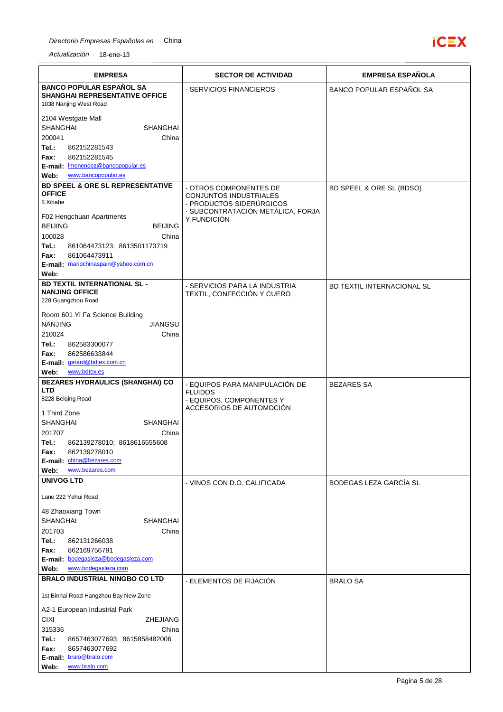

| <b>EMPRESA</b>                                                                     | <b>SECTOR DE ACTIVIDAD</b>                                    | <b>EMPRESA ESPAÑOLA</b>           |
|------------------------------------------------------------------------------------|---------------------------------------------------------------|-----------------------------------|
| <b>BANCO POPULAR ESPAÑOL SA</b><br><b>SHANGHAI REPRESENTATIVE OFFICE</b>           | - SERVICIOS FINANCIEROS                                       | BANCO POPULAR ESPAÑOL SA          |
| 1038 Nanjing West Road<br>2104 Westgate Mall<br><b>SHANGHAI</b><br><b>SHANGHAI</b> |                                                               |                                   |
| 200041<br>China                                                                    |                                                               |                                   |
| Tel.:<br>862152281543<br>862152281545<br>Fax:                                      |                                                               |                                   |
| E-mail: Imenendez@bancopopular.es<br>www.bancopopular.es<br>Web:                   |                                                               |                                   |
| <b>BD SPEEL &amp; ORE SL REPRESENTATIVE</b>                                        | - OTROS COMPONENTES DE                                        | BD SPEEL & ORE SL (BDSO)          |
| <b>OFFICE</b><br>8 Xibahe                                                          | CONJUNTOS INDUSTRIALES                                        |                                   |
| F02 Hengchuan Apartments                                                           | - PRODUCTOS SIDERÚRGICOS<br>- SUBCONTRATACIÓN METÁLICA, FORJA |                                   |
| <b>BEIJING</b><br><b>BEIJING</b>                                                   | Y FUNDICIÓN                                                   |                                   |
| 100028<br>China                                                                    |                                                               |                                   |
| Tel.:<br>861064473123; 8613501173719<br>Fax:<br>861064473911                       |                                                               |                                   |
| E-mail: mariochinaspain@yahoo.com.cn                                               |                                                               |                                   |
| Web:                                                                               |                                                               |                                   |
| <b>BD TEXTIL INTERNATIONAL SL-</b><br><b>NANJING OFFICE</b><br>228 Guangzhou Road  | - SERVICIOS PARA LA INDUSTRIA<br>TEXTIL, CONFECCIÓN Y CUERO   | <b>BD TEXTIL INTERNACIONAL SL</b> |
| Room 601 Yi Fa Science Building                                                    |                                                               |                                   |
| <b>NANJING</b><br>JIANGSU                                                          |                                                               |                                   |
| 210024<br>China<br>Tel.:<br>862583300077                                           |                                                               |                                   |
| 862586633844<br>Fax:                                                               |                                                               |                                   |
| E-mail: gerard@bdtex.com.cn<br>www.bdtex.es<br>Web:                                |                                                               |                                   |
| BEZARES HYDRAULICS (SHANGHAI) CO                                                   | - EQUIPOS PARA MANIPULACIÓN DE                                | <b>BEZARES SA</b>                 |
| <b>LTD</b><br>8228 Beiging Road                                                    | <b>FLUIDOS</b>                                                |                                   |
|                                                                                    | - EQUIPOS, COMPONENTES Y<br>ACCESORIOS DE AUTOMOCIÓN          |                                   |
| 1 Third Zone<br><b>SHANGHAI</b><br>SHANGHAI                                        |                                                               |                                   |
| 201707<br>China                                                                    |                                                               |                                   |
| Tel.:<br>862139278010; 8618616555608                                               |                                                               |                                   |
| 862139278010<br>Fax:<br>E-mail: china@bezares.com                                  |                                                               |                                   |
| www.bezares.com<br>Web:                                                            |                                                               |                                   |
| <b>UNIVOG LTD</b>                                                                  | - VINOS CON D.O. CALIFICADA                                   | BODEGAS LEZA GARCÍA SL            |
| Lane 222 Yehui Road                                                                |                                                               |                                   |
| 48 Zhaoxiang Town                                                                  |                                                               |                                   |
| <b>SHANGHAI</b><br><b>SHANGHAI</b><br>201703<br>China                              |                                                               |                                   |
| Tel.:<br>862131266038                                                              |                                                               |                                   |
| Fax:<br>862169756791                                                               |                                                               |                                   |
| E-mail: bodegasleza@bodegasleza.com<br>www.bodegasleza.com<br>Web:                 |                                                               |                                   |
| <b>BRALO INDUSTRIAL NINGBO CO LTD</b>                                              | - ELEMENTOS DE FIJACIÓN                                       | <b>BRALO SA</b>                   |
| 1st Binhai Road Hangzhou Bay New Zone                                              |                                                               |                                   |
| A2-1 European Industrial Park                                                      |                                                               |                                   |
| <b>CIXI</b><br>ZHEJIANG<br>315336<br>China                                         |                                                               |                                   |
| Tel.:<br>8657463077693; 8615858482006                                              |                                                               |                                   |
| Fax:<br>8657463077692                                                              |                                                               |                                   |
| E-mail: bralo@bralo.com<br>www.bralo.com<br>Web:                                   |                                                               |                                   |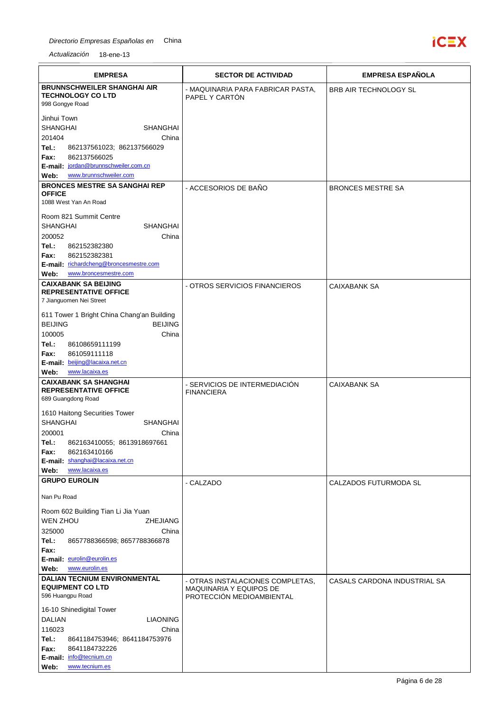

| <b>EMPRESA</b>                                                                                                                                                                                                                                                                               | <b>SECTOR DE ACTIVIDAD</b>                                                               | <b>EMPRESA ESPAÑOLA</b>      |
|----------------------------------------------------------------------------------------------------------------------------------------------------------------------------------------------------------------------------------------------------------------------------------------------|------------------------------------------------------------------------------------------|------------------------------|
| <b>BRUNNSCHWEILER SHANGHAI AIR</b><br><b>TECHNOLOGY CO LTD</b><br>998 Gongye Road                                                                                                                                                                                                            | - MAQUINARIA PARA FABRICAR PASTA,<br>PAPEL Y CARTÓN                                      | <b>BRB AIR TECHNOLOGY SL</b> |
| Jinhui Town<br><b>SHANGHAI</b><br>SHANGHAI<br>201404<br>China<br>Tel.:<br>862137561023; 862137566029<br>862137566025<br>Fax:<br>E-mail: jordan@brunnschweiler.com.cn<br>www.brunnschweiler.com<br>Web:                                                                                       |                                                                                          |                              |
| <b>BRONCES MESTRE SA SANGHAI REP</b><br><b>OFFICE</b>                                                                                                                                                                                                                                        | - ACCESORIOS DE BAÑO                                                                     | <b>BRONCES MESTRE SA</b>     |
| 1088 West Yan An Road<br>Room 821 Summit Centre<br><b>SHANGHAI</b><br><b>SHANGHAI</b><br>200052<br>China<br>Tel.:<br>862152382380<br>862152382381<br>Fax:<br>E-mail: richardcheng@broncesmestre.com<br>www.broncesmestre.com<br>Web:                                                         |                                                                                          |                              |
| <b>CAIXABANK SA BEIJING</b><br><b>REPRESENTATIVE OFFICE</b><br>7 Jianguomen Nei Street                                                                                                                                                                                                       | - OTROS SERVICIOS FINANCIEROS                                                            | <b>CAIXABANK SA</b>          |
| 611 Tower 1 Bright China Chang'an Building<br><b>BEIJING</b><br><b>BEIJING</b><br>100005<br>China<br>Tel.:<br>86108659111199<br>861059111118<br>Fax:<br>E-mail: beijing@lacaixa.net.cn<br>www.lacaixa.es<br>Web:                                                                             |                                                                                          |                              |
| <b>CAIXABANK SA SHANGHAI</b><br><b>REPRESENTATIVE OFFICE</b><br>689 Guangdong Road                                                                                                                                                                                                           | - SERVICIOS DE INTERMEDIACIÓN<br><b>FINANCIERA</b>                                       | <b>CAIXABANK SA</b>          |
| 1610 Haitong Securities Tower<br><b>SHANGHAI</b><br>SHANGHAI<br>200001<br>China<br>862163410055; 8613918697661<br>Tel.:<br>862163410166<br>Fax:<br>E-mail: shanghai@lacaixa.net.cn<br>www.lacaixa.es<br>Web:                                                                                 |                                                                                          |                              |
| <b>GRUPO EUROLIN</b>                                                                                                                                                                                                                                                                         | - CALZADO                                                                                | CALZADOS FUTURMODA SL        |
| Nan Pu Road<br>Room 602 Building Tian Li Jia Yuan<br><b>WEN ZHOU</b><br><b>ZHEJIANG</b><br>325000<br>China<br>Tel.:<br>8657788366598; 8657788366878<br>Fax:<br>E-mail: eurolin@eurolin.es<br>www.eurolin.es<br>Web:                                                                          |                                                                                          |                              |
| <b>DALIAN TECNIUM ENVIRONMENTAL</b><br><b>EQUIPMENT CO LTD</b><br>596 Huangpu Road<br>16-10 Shinedigital Tower<br><b>DALIAN</b><br><b>LIAONING</b><br>116023<br>China<br>Tel.:<br>8641184753946; 8641184753976<br>Fax:<br>8641184732226<br>E-mail: info@tecnium.cn<br>www.tecnium.es<br>Web: | - OTRAS INSTALACIONES COMPLETAS,<br>MAQUINARIA Y EQUIPOS DE<br>PROTECCION MEDIOAMBIENTAL | CASALS CARDONA INDUSTRIAL SA |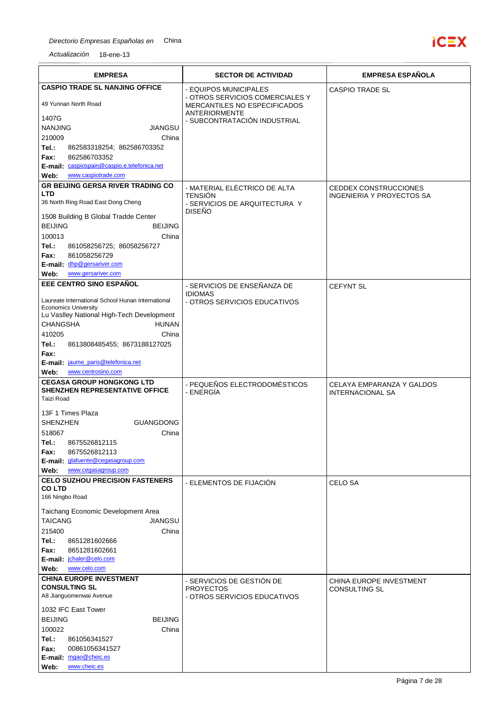

| <b>EMPRESA</b>                                                               | <b>SECTOR DE ACTIVIDAD</b>                                      | <b>EMPRESA ESPAÑOLA</b>                              |
|------------------------------------------------------------------------------|-----------------------------------------------------------------|------------------------------------------------------|
| <b>CASPIO TRADE SL NANJING OFFICE</b>                                        | - EQUIPOS MUNICIPALES                                           | <b>CASPIO TRADE SL</b>                               |
| 49 Yunnan North Road                                                         | - OTROS SERVICIOS COMERCIALES Y<br>MERCANTILES NO ESPECIFICADOS |                                                      |
| 1407G                                                                        | <b>ANTERIORMENTE</b>                                            |                                                      |
| <b>NANJING</b><br><b>JIANGSU</b>                                             | - SUBCONTRATACIÓN INDUSTRIAL                                    |                                                      |
| 210009<br>China                                                              |                                                                 |                                                      |
| Tel.:<br>862583318254; 862586703352                                          |                                                                 |                                                      |
| 862586703352<br>Fax:<br>E-mail: caspiospain@caspio.e.telefonica.net          |                                                                 |                                                      |
| www.caspiotrade.com<br>Web:                                                  |                                                                 |                                                      |
| <b>GR BEIJING GERSA RIVER TRADING CO</b>                                     | - MATERIAL ELECTRICO DE ALTA                                    | <b>CEDDEX CONSTRUCCIONES</b>                         |
| LTD                                                                          | <b>TENSIÓN</b>                                                  | INGENIERIA Y PROYECTOS SA                            |
| 36 North Ring Road East Dong Cheng                                           | - SERVICIOS DE ARQUITECTURA Y<br><b>DISEÑO</b>                  |                                                      |
| 1508 Building B Global Tradde Center                                         |                                                                 |                                                      |
| <b>BEIJING</b><br><b>BEIJING</b>                                             |                                                                 |                                                      |
| 100013<br>China<br>Tel.:<br>861058256725; 86058256727                        |                                                                 |                                                      |
| 861058256729<br>Fax:                                                         |                                                                 |                                                      |
| E-mail: dhp@gersariver.com                                                   |                                                                 |                                                      |
| www.gersariver.com<br>Web:                                                   |                                                                 |                                                      |
| EEE CENTRO SINO ESPAÑOL                                                      | - SERVICIOS DE ENSEÑANZA DE                                     | <b>CEFYNT SL</b>                                     |
| Laureate International School Hunan International                            | <b>IDIOMAS</b><br>- OTROS SERVICIOS EDUCATIVOS                  |                                                      |
| <b>Economics University</b>                                                  |                                                                 |                                                      |
| Lu Vaslley National High-Tech Development<br><b>CHANGSHA</b><br><b>HUNAN</b> |                                                                 |                                                      |
| 410205<br>China                                                              |                                                                 |                                                      |
| Tel.:<br>8613808485455; 8673188127025                                        |                                                                 |                                                      |
| Fax:                                                                         |                                                                 |                                                      |
| E-mail: jaume paris@telefonica.net                                           |                                                                 |                                                      |
| www.centrosino.com<br>Web:<br><b>CEGASA GROUP HONGKONG LTD</b>               |                                                                 |                                                      |
| <b>SHENZHEN REPRESENTATIVE OFFICE</b>                                        | - PEQUEÑOS ELECTRODOMÉSTICOS<br>- ENERGÍA                       | CELAYA EMPARANZA Y GALDOS<br><b>INTERNACIONAL SA</b> |
| Taizi Road                                                                   |                                                                 |                                                      |
| 13F 1 Times Plaza                                                            |                                                                 |                                                      |
| <b>SHENZHEN</b><br><b>GUANGDONG</b>                                          |                                                                 |                                                      |
| 518067<br>China                                                              |                                                                 |                                                      |
| 8675526812115<br>Tel.:<br>8675526812113                                      |                                                                 |                                                      |
| Fax:<br>E-mail: glafuente@cegasagroup.com                                    |                                                                 |                                                      |
| Web:<br>www.cegasagroup.com                                                  |                                                                 |                                                      |
| <b>CELO SUZHOU PRECISION FASTENERS</b>                                       | - ELEMENTOS DE FIJACIÓN                                         | <b>CELO SA</b>                                       |
| <b>COLTD</b><br>166 Ningbo Road                                              |                                                                 |                                                      |
|                                                                              |                                                                 |                                                      |
| Taichang Economic Development Area<br><b>JIANGSU</b><br><b>TAICANG</b>       |                                                                 |                                                      |
| 215400<br>China                                                              |                                                                 |                                                      |
| Tel.:<br>8651281602666                                                       |                                                                 |                                                      |
| 8651281602661<br>Fax:                                                        |                                                                 |                                                      |
| E-mail: jchaler@celo.com<br>www.celo.com<br>Web:                             |                                                                 |                                                      |
| <b>CHINA EUROPE INVESTMENT</b>                                               |                                                                 |                                                      |
| <b>CONSULTING SL</b>                                                         | - SERVICIOS DE GESTIÓN DE<br><b>PROYECTOS</b>                   | CHINA EUROPE INVESTMENT<br><b>CONSULTING SL</b>      |
| A8 Jianguomenwai Avenue                                                      | - OTROS SERVICIOS EDUCATIVOS                                    |                                                      |
| 1032 IFC East Tower                                                          |                                                                 |                                                      |
| <b>BEIJING</b><br><b>BEIJING</b>                                             |                                                                 |                                                      |
| 100022<br>China                                                              |                                                                 |                                                      |
| Tel.:<br>861056341527<br>Fax:<br>00861056341527                              |                                                                 |                                                      |
| E-mail: mgao@cheic.es                                                        |                                                                 |                                                      |
| www.cheic.es<br>Web:                                                         |                                                                 |                                                      |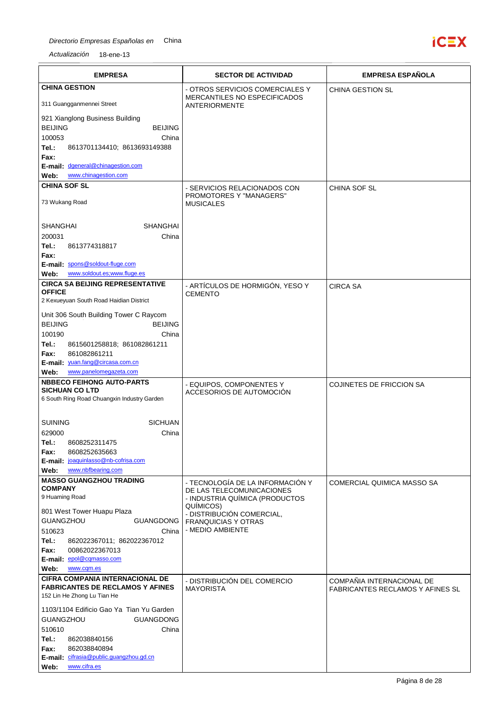

| <b>EMPRESA</b>                                                                | <b>SECTOR DE ACTIVIDAD</b>                                      | <b>EMPRESA ESPAÑOLA</b>          |
|-------------------------------------------------------------------------------|-----------------------------------------------------------------|----------------------------------|
| <b>CHINA GESTION</b>                                                          | - OTROS SERVICIOS COMERCIALES Y<br>MERCANTILES NO ESPECIFICADOS | <b>CHINA GESTION SL</b>          |
| 311 Guangganmennei Street                                                     | ANTERIORMENTE                                                   |                                  |
| 921 Xianglong Business Building                                               |                                                                 |                                  |
| <b>BEIJING</b><br><b>BEIJING</b><br>100053<br>China                           |                                                                 |                                  |
| Tel.:<br>8613701134410; 8613693149388                                         |                                                                 |                                  |
| Fax:<br>E-mail: dgeneral@chinagestion.com                                     |                                                                 |                                  |
| www.chinagestion.com<br>Web:                                                  |                                                                 |                                  |
| <b>CHINA SOF SL</b>                                                           | - SERVICIOS RELACIONADOS CON                                    | CHINA SOF SL                     |
| 73 Wukang Road                                                                | PROMOTORES Y "MANAGERS"<br><b>MUSICALES</b>                     |                                  |
| <b>SHANGHAI</b><br><b>SHANGHAI</b>                                            |                                                                 |                                  |
| 200031<br>China                                                               |                                                                 |                                  |
| Tel.:<br>8613774318817<br>Fax:                                                |                                                                 |                                  |
| E-mail: spons@soldout-fluge.com                                               |                                                                 |                                  |
| www.soldout.es:www.fluge.es<br>Web:<br><b>CIRCA SA BEIJING REPRESENTATIVE</b> |                                                                 |                                  |
| <b>OFFICE</b>                                                                 | - ARTÍCULOS DE HORMIGÓN, YESO Y<br><b>CEMENTO</b>               | <b>CIRCA SA</b>                  |
| 2 Kexueyuan South Road Haidian District                                       |                                                                 |                                  |
| Unit 306 South Building Tower C Raycom                                        |                                                                 |                                  |
| <b>BEIJING</b><br><b>BEIJING</b><br>100190<br>China                           |                                                                 |                                  |
| Tel.:<br>8615601258818; 861082861211                                          |                                                                 |                                  |
| 861082861211<br>Fax:                                                          |                                                                 |                                  |
| E-mail: yuan.fang@circasa.com.cn<br>www.panelomegazeta.com<br>Web:            |                                                                 |                                  |
| <b>NBBECO FEIHONG AUTO-PARTS</b>                                              | - EQUIPOS, COMPONENTES Y                                        | <b>COJINETES DE FRICCION SA</b>  |
| <b>SICHUAN CO LTD</b><br>6 South Ring Road Chuangxin Industry Garden          | ACCESORIOS DE AUTOMOCIÓN                                        |                                  |
|                                                                               |                                                                 |                                  |
| <b>SUINING</b><br><b>SICHUAN</b>                                              |                                                                 |                                  |
| 629000<br>China                                                               |                                                                 |                                  |
| Tel.:<br>8608252311475<br>8608252635663<br>Fax:                               |                                                                 |                                  |
| E-mail: joaquinlasso@nb-cofrisa.com                                           |                                                                 |                                  |
| www.nbfbearing.com<br>Web:                                                    |                                                                 |                                  |
| <b>MASSO GUANGZHOU TRADING</b><br><b>COMPANY</b>                              | - TECNOLOGÍA DE LA INFORMACIÓN Y<br>DE LAS TELECOMUNICACIONES   | COMERCIAL QUIMICA MASSO SA       |
| 9 Huaming Road                                                                | - INDUSTRIA QUÍMICA (PRODUCTOS<br>QUÍMICOS)                     |                                  |
| 801 West Tower Huapu Plaza                                                    | - DISTRIBUCIÓN COMERCIAL,                                       |                                  |
| <b>GUANGZHOU</b><br>GUANGDONG<br>510623<br>China                              | <b>FRANQUICIAS Y OTRAS</b><br>- MEDIO AMBIENTE                  |                                  |
| Tel.:<br>862022367011; 862022367012                                           |                                                                 |                                  |
| Fax:<br>00862022367013                                                        |                                                                 |                                  |
| E-mail: epol@cqmasso.com<br>Web:<br>www.cqm.es                                |                                                                 |                                  |
| <b>CIFRA COMPANIA INTERNACIONAL DE</b>                                        | - DISTRIBUCIÓN DEL COMERCIO                                     | COMPAÑIA INTERNACIONAL DE        |
| <b>FABRICANTES DE RECLAMOS Y AFINES</b><br>152 Lin He Zhong Lu Tian He        | <b>MAYORISTA</b>                                                | FABRICANTES RECLAMOS Y AFINES SL |
| 1103/1104 Edificio Gao Ya Tian Yu Garden                                      |                                                                 |                                  |
| <b>GUANGZHOU</b><br><b>GUANGDONG</b>                                          |                                                                 |                                  |
| 510610<br>China                                                               |                                                                 |                                  |
| Tel.:<br>862038840156<br>Fax:<br>862038840894                                 |                                                                 |                                  |
| E-mail: cifrasia@public.guangzhou.gd.cn                                       |                                                                 |                                  |
| www.cifra.es<br>Web:                                                          |                                                                 |                                  |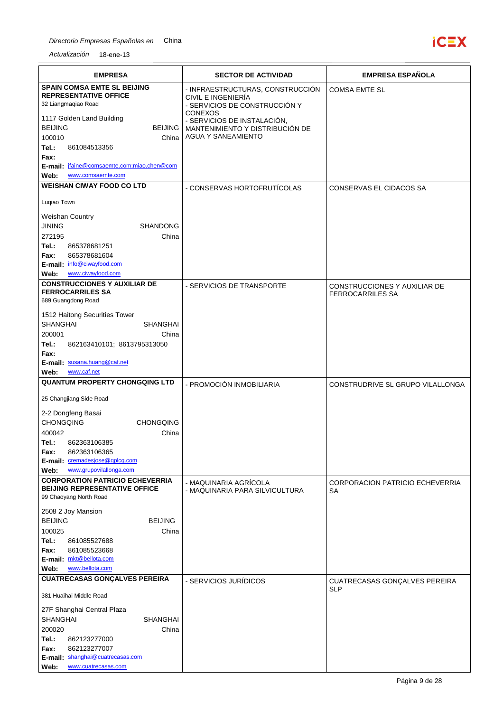

| <b>EMPRESA</b>                                                                                                                                                                                                                                                                        | <b>SECTOR DE ACTIVIDAD</b>                                                                                                                                                                               | <b>EMPRESA ESPAÑOLA</b>                                 |
|---------------------------------------------------------------------------------------------------------------------------------------------------------------------------------------------------------------------------------------------------------------------------------------|----------------------------------------------------------------------------------------------------------------------------------------------------------------------------------------------------------|---------------------------------------------------------|
| <b>SPAIN COMSA EMTE SL BEIJING</b><br><b>REPRESENTATIVE OFFICE</b><br>32 Liangmagiao Road<br>1117 Golden Land Building<br><b>BEIJING</b><br><b>BEIJING</b><br>100010<br>China<br>Tel.:<br>861084513356<br>Fax:                                                                        | - INFRAESTRUCTURAS, CONSTRUCCIÓN<br>CIVIL E INGENIERÍA<br>- SERVICIOS DE CONSTRUCCIÓN Y<br><b>CONEXOS</b><br>- SERVICIOS DE INSTALACIÓN,<br>MANTENIMIENTO Y DISTRIBUCIÓN DE<br><b>AGUA Y SANEAMIENTO</b> | <b>COMSA EMTE SL</b>                                    |
| E-mail ifaine@comsaemte.com;miao.chen@com<br>Web:<br>www.comsaemte.com<br><b>WEISHAN CIWAY FOOD CO LTD</b><br>Luqiao Town                                                                                                                                                             | - CONSERVAS HORTOFRUTÍCOLAS                                                                                                                                                                              | CONSERVAS EL CIDACOS SA                                 |
| <b>Weishan Country</b><br><b>SHANDONG</b><br>JINING<br>272195<br>China<br>Tel.:<br>865378681251<br>865378681604<br>Fax:<br>E-mail: info@ciwayfood.com<br>www.ciwayfood.com<br>Web:                                                                                                    |                                                                                                                                                                                                          |                                                         |
| <b>CONSTRUCCIONES Y AUXILIAR DE</b><br><b>FERROCARRILES SA</b><br>689 Guangdong Road<br>1512 Haitong Securities Tower<br><b>SHANGHAI</b><br><b>SHANGHAI</b><br>200001<br>China<br>Tel.:<br>862163410101; 8613795313050<br>Fax:<br>E-mail: susana.huang@caf.net<br>www.caf.net<br>Web: | - SERVICIOS DE TRANSPORTE                                                                                                                                                                                | CONSTRUCCIONES Y AUXILIAR DE<br><b>FERROCARRILES SA</b> |
| <b>QUANTUM PROPERTY CHONGQING LTD</b>                                                                                                                                                                                                                                                 | - PROMOCIÓN INMOBILIARIA                                                                                                                                                                                 | CONSTRUDRIVE SL GRUPO VILALLONGA                        |
| 25 Changjiang Side Road<br>2-2 Dongfeng Basai<br><b>CHONGQING</b><br><b>CHONGQING</b><br>400042<br>China<br>Tel.:<br>862363106385<br>862363106365<br>Fax:<br>E-mail: cremadesjose@qplcq.com<br>www.grupovilallonga.com<br>Web:                                                        |                                                                                                                                                                                                          |                                                         |
| <b>CORPORATION PATRICIO ECHEVERRIA</b><br><b>BEIJING REPRESENTATIVE OFFICE</b><br>99 Chaoyang North Road                                                                                                                                                                              | - MAQUINARIA AGRÍCOLA<br>- MAQUINARIA PARA SILVICULTURA                                                                                                                                                  | <b>CORPORACION PATRICIO ECHEVERRIA</b><br>SA            |
| 2508 2 Joy Mansion<br><b>BEIJING</b><br><b>BEIJING</b><br>100025<br>China<br>Tel.:<br>861085527688<br>Fax:<br>861085523668<br>E-mail: mkt@bellota.com<br>www.bellota.com<br>Web:                                                                                                      |                                                                                                                                                                                                          |                                                         |
| <b>CUATRECASAS GONÇALVES PEREIRA</b><br>381 Huaihai Middle Road<br>27F Shanghai Central Plaza<br><b>SHANGHAI</b><br><b>SHANGHAI</b><br>200020<br>China<br>Tel.:<br>862123277000<br>862123277007<br>Fax:<br>E-mail: shanghai@cuatrecasas.com<br>Web:<br>www.cuatrecasas.com            | - SERVICIOS JURÍDICOS                                                                                                                                                                                    | CUATRECASAS GONÇALVES PEREIRA<br><b>SLP</b>             |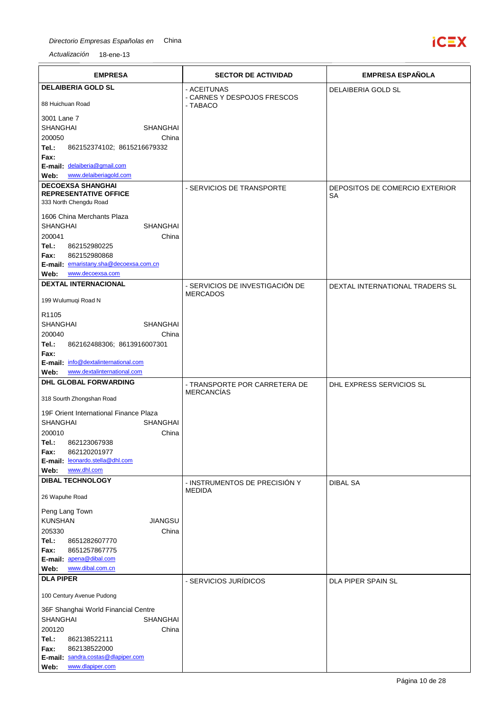

| <b>EMPRESA</b>                                                 | <b>SECTOR DE ACTIVIDAD</b>                         | <b>EMPRESA ESPAÑOLA</b>              |
|----------------------------------------------------------------|----------------------------------------------------|--------------------------------------|
| <b>DELAIBERIA GOLD SL</b>                                      | - ACEITUNAS                                        | DELAIBERIA GOLD SL                   |
| 88 Huichuan Road                                               | - CARNES Y DESPOJOS FRESCOS<br>- TABACO            |                                      |
| 3001 Lane 7                                                    |                                                    |                                      |
| <b>SHANGHAI</b><br><b>SHANGHAI</b>                             |                                                    |                                      |
| 200050<br>China<br>Tel.:<br>862152374102; 8615216679332        |                                                    |                                      |
| Fax:                                                           |                                                    |                                      |
| E-mail: delaiberia@gmail.com                                   |                                                    |                                      |
| www.delaiberiagold.com<br>Web:                                 |                                                    |                                      |
| <b>DECOEXSA SHANGHAI</b><br><b>REPRESENTATIVE OFFICE</b>       | - SERVICIOS DE TRANSPORTE                          | DEPOSITOS DE COMERCIO EXTERIOR<br>SA |
| 333 North Chengdu Road                                         |                                                    |                                      |
| 1606 China Merchants Plaza                                     |                                                    |                                      |
| <b>SHANGHAI</b><br><b>SHANGHAI</b><br>200041<br>China          |                                                    |                                      |
| Tel.:<br>862152980225                                          |                                                    |                                      |
| Fax:<br>862152980868                                           |                                                    |                                      |
| E-mail: emaristany.sha@decoexsa.com.cn                         |                                                    |                                      |
| www.decoexsa.com<br>Web:                                       |                                                    |                                      |
| <b>DEXTAL INTERNACIONAL</b>                                    | - SERVICIOS DE INVESTIGACIÓN DE<br><b>MERCADOS</b> | DEXTAL INTERNATIONAL TRADERS SL      |
| 199 Wulumuqi Road N                                            |                                                    |                                      |
| R <sub>1105</sub>                                              |                                                    |                                      |
| <b>SHANGHAI</b><br><b>SHANGHAI</b>                             |                                                    |                                      |
| 200040<br>China<br>Tel.:<br>862162488306; 8613916007301        |                                                    |                                      |
| Fax:                                                           |                                                    |                                      |
| E-mail: info@dextalinternational.com                           |                                                    |                                      |
| www.dextalinternational.com<br>Web:                            |                                                    |                                      |
| <b>DHL GLOBAL FORWARDING</b>                                   | - TRANSPORTE POR CARRETERA DE<br><b>MERCANCÍAS</b> | DHL EXPRESS SERVICIOS SL             |
| 318 Sourth Zhongshan Road                                      |                                                    |                                      |
| 19F Orient International Finance Plaza                         |                                                    |                                      |
| <b>SHANGHAI</b><br><b>SHANGHAI</b><br>200010                   |                                                    |                                      |
| China<br>Tel.:<br>862123067938                                 |                                                    |                                      |
| 862120201977<br>Fax:                                           |                                                    |                                      |
| E-mail: leonardo.stella@dhl.com                                |                                                    |                                      |
| www.dhl.com<br>Web:                                            |                                                    |                                      |
| <b>DIBAL TECHNOLOGY</b>                                        | - INSTRUMENTOS DE PRECISIÓN Y<br><b>MEDIDA</b>     | <b>DIBAL SA</b>                      |
| 26 Wapuhe Road                                                 |                                                    |                                      |
| Peng Lang Town                                                 |                                                    |                                      |
| <b>KUNSHAN</b><br><b>JIANGSU</b>                               |                                                    |                                      |
| 205330<br>China                                                |                                                    |                                      |
| Tel.:<br>8651282607770                                         |                                                    |                                      |
| Fax:<br>8651257867775<br>E-mail: apena@dibal.com               |                                                    |                                      |
| www.dibal.com.cn<br>Web:                                       |                                                    |                                      |
| <b>DLA PIPER</b>                                               | - SERVICIOS JURÍDICOS                              | DLA PIPER SPAIN SL                   |
| 100 Century Avenue Pudong                                      |                                                    |                                      |
| 36F Shanghai World Financial Centre                            |                                                    |                                      |
| <b>SHANGHAI</b><br><b>SHANGHAI</b>                             |                                                    |                                      |
| 200120<br>China                                                |                                                    |                                      |
| Tel.:<br>862138522111                                          |                                                    |                                      |
| Fax:<br>862138522000                                           |                                                    |                                      |
| E-mail: sandra.costas@dlapiper.com<br>www.dlapiper.com<br>Web: |                                                    |                                      |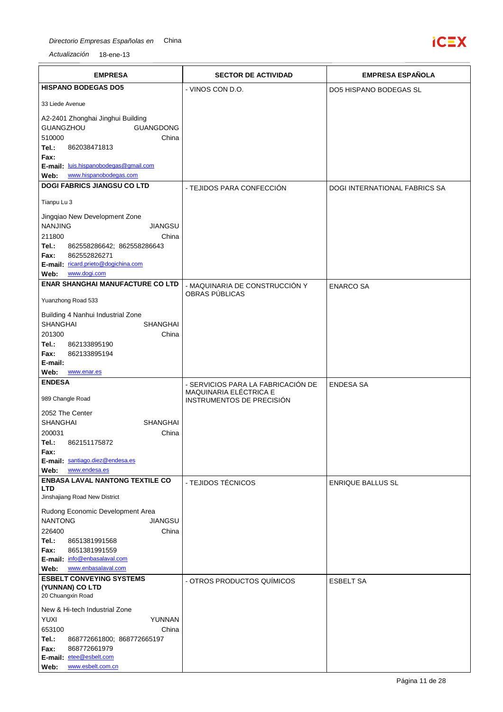

| <b>EMPRESA</b>                                                                                                                                                                                              | <b>SECTOR DE ACTIVIDAD</b>                          | <b>EMPRESA ESPAÑOLA</b>              |
|-------------------------------------------------------------------------------------------------------------------------------------------------------------------------------------------------------------|-----------------------------------------------------|--------------------------------------|
| <b>HISPANO BODEGAS DO5</b>                                                                                                                                                                                  | - VINOS CON D.O.                                    | <b>DO5 HISPANO BODEGAS SL</b>        |
| 33 Liede Avenue                                                                                                                                                                                             |                                                     |                                      |
| A2-2401 Zhonghai Jinghui Building<br>GUANGZHOU<br><b>GUANGDONG</b><br>510000<br>China<br>Tel.:<br>862038471813<br>Fax:<br>E-mail: luis.hispanobodegas@gmail.com<br>www.hispanobodegas.com<br>Web:           |                                                     |                                      |
| <b>DOGI FABRICS JIANGSU CO LTD</b>                                                                                                                                                                          | - TEJIDOS PARA CONFECCIÓN                           | <b>DOGI INTERNATIONAL FABRICS SA</b> |
| Tianpu Lu 3                                                                                                                                                                                                 |                                                     |                                      |
| Jingqiao New Development Zone<br><b>NANJING</b><br>JIANGSU<br>211800<br>China<br>Tel.:<br>862558286642; 862558286643<br>862552826271<br>Fax:<br>E-mail: ricard.prieto@dogichina.com<br>www.dogi.com<br>Web: |                                                     |                                      |
| <b>ENAR SHANGHAI MANUFACTURE CO LTD</b>                                                                                                                                                                     | - MAQUINARIA DE CONSTRUCCIÓN Y                      | <b>ENARCO SA</b>                     |
| Yuanzhong Road 533                                                                                                                                                                                          | OBRAS PÚBLICAS                                      |                                      |
| Building 4 Nanhui Industrial Zone<br><b>SHANGHAI</b><br><b>SHANGHAI</b><br>201300<br>China<br>Tel.:<br>862133895190<br>862133895194<br>Fax:<br>E-mail:<br>Web:<br>www.enar.es                               |                                                     |                                      |
| <b>ENDESA</b>                                                                                                                                                                                               | - SERVICIOS PARA LA FABRICACIÓN DE                  | <b>ENDESA SA</b>                     |
| 989 Changle Road<br>2052 The Center                                                                                                                                                                         | MAQUINARIA ELÉCTRICA E<br>INSTRUMENTOS DE PRECISIÓN |                                      |
| <b>SHANGHAI</b><br><b>SHANGHAI</b><br>200031<br>China<br>Tel.:<br>862151175872<br>Fax:<br>E-mail: santiago.diez@endesa.es                                                                                   |                                                     |                                      |
| www.endesa.es<br>Web:<br><b>ENBASA LAVAL NANTONG TEXTILE CO</b>                                                                                                                                             |                                                     |                                      |
| <b>LTD</b><br>Jinshajiang Road New District                                                                                                                                                                 | - TEJIDOS TÉCNICOS                                  | <b>ENRIQUE BALLUS SL</b>             |
| Rudong Economic Development Area<br><b>NANTONG</b><br>JIANGSU<br>226400<br>China<br>Tel.:<br>8651381991568<br>Fax:<br>8651381991559<br>E-mail: info@enbasalaval.com<br>www.enbasalaval.com<br>Web:          |                                                     |                                      |
| <b>ESBELT CONVEYING SYSTEMS</b><br>(YUNNAN) CO LTD<br>20 Chuangxin Road                                                                                                                                     | - OTROS PRODUCTOS QUÍMICOS                          | <b>ESBELT SA</b>                     |
| New & Hi-tech Industrial Zone<br><b>YUXI</b><br>YUNNAN<br>653100<br>China<br>Tel.:<br>868772661800; 868772665197<br>Fax:<br>868772661979<br>E-mail: etee@esbelt.com<br>www.esbelt.com.cn<br>Web:            |                                                     |                                      |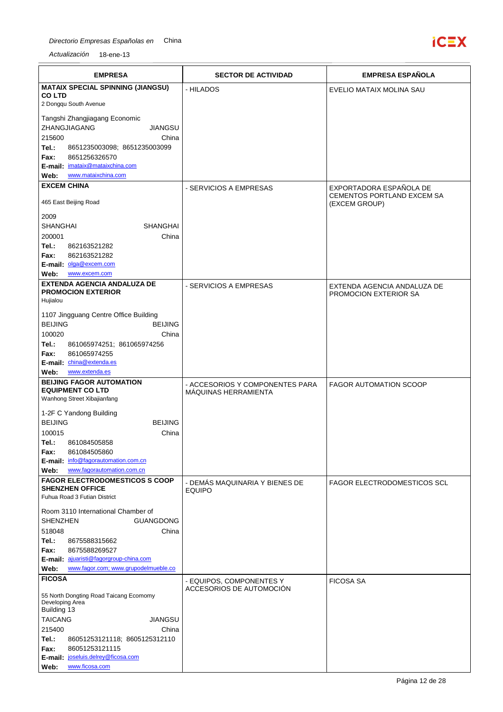

| <b>EMPRESA</b>                                                                         | <b>SECTOR DE ACTIVIDAD</b>                              | <b>EMPRESA ESPAÑOLA</b>                               |
|----------------------------------------------------------------------------------------|---------------------------------------------------------|-------------------------------------------------------|
| <b>MATAIX SPECIAL SPINNING (JIANGSU)</b>                                               | - HILADOS                                               | EVELIO MATAIX MOLINA SAU                              |
| <b>COLTD</b><br>2 Dongqu South Avenue                                                  |                                                         |                                                       |
|                                                                                        |                                                         |                                                       |
| Tangshi Zhangjiagang Economic<br>ZHANGJIAGANG<br>JIANGSU                               |                                                         |                                                       |
| 215600<br>China                                                                        |                                                         |                                                       |
| Tel.:<br>8651235003098; 8651235003099                                                  |                                                         |                                                       |
| 8651256326570<br>Fax:                                                                  |                                                         |                                                       |
| E-mail: imataix@mataixchina.com                                                        |                                                         |                                                       |
| www.mataixchina.com<br>Web:<br><b>EXCEM CHINA</b>                                      |                                                         |                                                       |
|                                                                                        | - SERVICIOS A EMPRESAS                                  | EXPORTADORA ESPAÑOLA DE<br>CEMENTOS PORTLAND EXCEM SA |
| 465 East Beijing Road                                                                  |                                                         | (EXCEM GROUP)                                         |
| 2009                                                                                   |                                                         |                                                       |
| <b>SHANGHAI</b><br>SHANGHAI                                                            |                                                         |                                                       |
| 200001<br>China                                                                        |                                                         |                                                       |
| Tel.:<br>862163521282<br>862163521282<br>Fax:                                          |                                                         |                                                       |
| E-mail: olga@excem.com                                                                 |                                                         |                                                       |
| Web:<br>www.excem.com                                                                  |                                                         |                                                       |
| <b>EXTENDA AGENCIA ANDALUZA DE</b>                                                     | - SERVICIOS A EMPRESAS                                  | EXTENDA AGENCIA ANDALUZA DE                           |
| <b>PROMOCION EXTERIOR</b><br>Hujialou                                                  |                                                         | PROMOCION EXTERIOR SA                                 |
|                                                                                        |                                                         |                                                       |
| 1107 Jingguang Centre Office Building<br><b>BEIJING</b><br><b>BEIJING</b>              |                                                         |                                                       |
| 100020<br>China                                                                        |                                                         |                                                       |
| Tel.:<br>861065974251; 861065974256                                                    |                                                         |                                                       |
| 861065974255<br>Fax:                                                                   |                                                         |                                                       |
| E-mail: china@extenda.es                                                               |                                                         |                                                       |
| www.extenda.es<br>Web:<br><b>BEIJING FAGOR AUTOMATION</b>                              |                                                         |                                                       |
| <b>EQUIPMENT CO LTD</b>                                                                | - ACCESORIOS Y COMPONENTES PARA<br>MÁQUINAS HERRAMIENTA | <b>FAGOR AUTOMATION SCOOP</b>                         |
| Wanhong Street Xibajianfang                                                            |                                                         |                                                       |
| 1-2F C Yandong Building                                                                |                                                         |                                                       |
| <b>BEIJING</b><br><b>BEIJING</b>                                                       |                                                         |                                                       |
| 100015<br>China                                                                        |                                                         |                                                       |
| Tel.:<br>861084505858<br>Fax:<br>861084505860                                          |                                                         |                                                       |
| E-mail: info@fagorautomation.com.cn                                                    |                                                         |                                                       |
| www.fagorautomation.com.cn<br>Web:                                                     |                                                         |                                                       |
| <b>FAGOR ELECTRODOMESTICOS S COOP</b>                                                  | - DEMÁS MAQUINARIA Y BIENES DE                          | <b>FAGOR ELECTRODOMESTICOS SCL</b>                    |
| <b>SHENZHEN OFFICE</b><br>Fuhua Road 3 Futian District                                 | <b>EQUIPO</b>                                           |                                                       |
|                                                                                        |                                                         |                                                       |
| Room 3110 International Chamber of<br><b>SHENZHEN</b><br><b>GUANGDONG</b>              |                                                         |                                                       |
| 518048<br>China                                                                        |                                                         |                                                       |
| Tel.:<br>8675588315662                                                                 |                                                         |                                                       |
| 8675588269527<br>Fax:                                                                  |                                                         |                                                       |
| E-mail: ajuaristi@fagorgroup-china.com<br>www.fagor.com; www.grupodelmueble.co<br>Web: |                                                         |                                                       |
| <b>FICOSA</b>                                                                          |                                                         |                                                       |
|                                                                                        | - EQUIPOS, COMPONENTES Y<br>ACCESORIOS DE AUTOMOCIÓN    | <b>FICOSA SA</b>                                      |
| 55 North Dongting Road Taicang Ecomomy<br>Developing Area                              |                                                         |                                                       |
| Building 13                                                                            |                                                         |                                                       |
| <b>TAICANG</b><br>JIANGSU                                                              |                                                         |                                                       |
| 215400<br>China<br>Tel.:                                                               |                                                         |                                                       |
| 86051253121118; 8605125312110<br>Fax:<br>86051253121115                                |                                                         |                                                       |
| E-mail: joseluis.delrey@ficosa.com                                                     |                                                         |                                                       |
| www.ficosa.com<br>Web:                                                                 |                                                         |                                                       |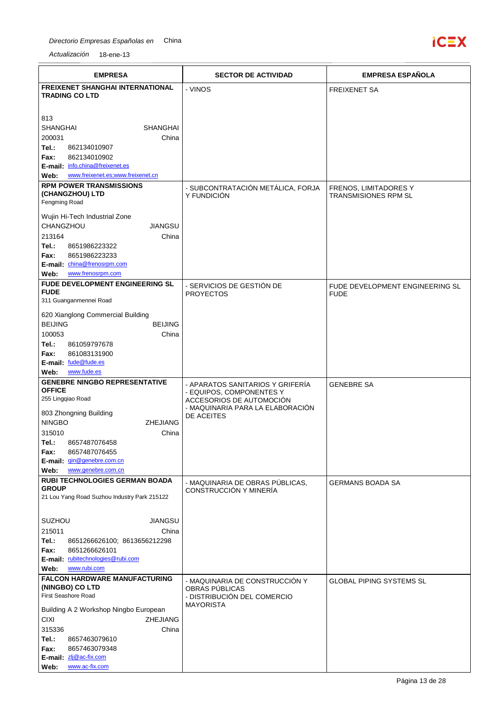

| <b>FREIXENET SHANGHAI INTERNATIONAL</b><br>- VINOS<br><b>FREIXENET SA</b><br><b>TRADING CO LTD</b><br>813<br>SHANGHAI<br><b>SHANGHAI</b><br>200031<br>China<br>Tel.:<br>862134010907<br>862134010902<br>Fax:<br>E-mail: info.china@freixenet.es<br>www.freixenet.es;www.freixenet.cn<br>Web:<br><b>RPM POWER TRANSMISSIONS</b><br>- SUBCONTRATACIÓN METÁLICA, FORJA<br>FRENOS, LIMITADORES Y<br>(CHANGZHOU) LTD<br>Y FUNDICIÓN<br><b>TRANSMISIONES RPM SL</b><br>Fengming Road<br>Wujin Hi-Tech Industrial Zone<br><b>JIANGSU</b><br>CHANGZHOU<br>213164<br>China<br>Tel.:<br>8651986223322<br>8651986223233<br>Fax:<br>E-mail: china@frenosrpm.com<br>www.frenosrpm.com<br>Web:<br>FUDE DEVELOPMENT ENGINEERING SL<br>- SERVICIOS DE GESTIÓN DE<br>FUDE DEVELOPMENT ENGINEERING SL<br><b>FUDE</b><br><b>PROYECTOS</b><br><b>FUDE</b><br>311 Guanganmennei Road<br>620 Xianglong Commercial Building<br><b>BEIJING</b><br><b>BEIJING</b><br>100053<br>China<br>Tel.:<br>861059797678<br>861083131900<br>Fax:<br>E-mail: fude@fude.es<br>www.fude.es<br>Web:<br><b>GENEBRE NINGBO REPRESENTATIVE</b><br>- APARATOS SANITARIOS Y GRIFERÍA<br><b>GENEBRE SA</b><br><b>OFFICE</b><br>- EQUIPOS, COMPONENTES Y<br>255 Lingqiao Road<br>ACCESORIOS DE AUTOMOCIÓN<br>- MAQUINARIA PARA LA ELABORACIÓN<br>803 Zhongning Building<br>DE ACEITES<br><b>NINGBO</b><br><b>ZHEJIANG</b><br>China<br>315010<br>8657487076458<br>Tel.:<br>8657487076455<br>Fax:<br>E-mail: gin@genebre.com.cn<br>www.genebre.com.cn<br>Web:<br><b>RUBI TECHNOLOGIES GERMAN BOADA</b><br>- MAQUINARIA DE OBRAS PÚBLICAS,<br><b>GERMANS BOADA SA</b><br><b>GROUP</b><br>CONSTRUCCIÓN Y MINERÍA<br>21 Lou Yang Road Suzhou Industry Park 215122 |
|---------------------------------------------------------------------------------------------------------------------------------------------------------------------------------------------------------------------------------------------------------------------------------------------------------------------------------------------------------------------------------------------------------------------------------------------------------------------------------------------------------------------------------------------------------------------------------------------------------------------------------------------------------------------------------------------------------------------------------------------------------------------------------------------------------------------------------------------------------------------------------------------------------------------------------------------------------------------------------------------------------------------------------------------------------------------------------------------------------------------------------------------------------------------------------------------------------------------------------------------------------------------------------------------------------------------------------------------------------------------------------------------------------------------------------------------------------------------------------------------------------------------------------------------------------------------------------------------------------------------------------------------------------------------------------------------------------------|
|                                                                                                                                                                                                                                                                                                                                                                                                                                                                                                                                                                                                                                                                                                                                                                                                                                                                                                                                                                                                                                                                                                                                                                                                                                                                                                                                                                                                                                                                                                                                                                                                                                                                                                               |
|                                                                                                                                                                                                                                                                                                                                                                                                                                                                                                                                                                                                                                                                                                                                                                                                                                                                                                                                                                                                                                                                                                                                                                                                                                                                                                                                                                                                                                                                                                                                                                                                                                                                                                               |
|                                                                                                                                                                                                                                                                                                                                                                                                                                                                                                                                                                                                                                                                                                                                                                                                                                                                                                                                                                                                                                                                                                                                                                                                                                                                                                                                                                                                                                                                                                                                                                                                                                                                                                               |
|                                                                                                                                                                                                                                                                                                                                                                                                                                                                                                                                                                                                                                                                                                                                                                                                                                                                                                                                                                                                                                                                                                                                                                                                                                                                                                                                                                                                                                                                                                                                                                                                                                                                                                               |
|                                                                                                                                                                                                                                                                                                                                                                                                                                                                                                                                                                                                                                                                                                                                                                                                                                                                                                                                                                                                                                                                                                                                                                                                                                                                                                                                                                                                                                                                                                                                                                                                                                                                                                               |
|                                                                                                                                                                                                                                                                                                                                                                                                                                                                                                                                                                                                                                                                                                                                                                                                                                                                                                                                                                                                                                                                                                                                                                                                                                                                                                                                                                                                                                                                                                                                                                                                                                                                                                               |
|                                                                                                                                                                                                                                                                                                                                                                                                                                                                                                                                                                                                                                                                                                                                                                                                                                                                                                                                                                                                                                                                                                                                                                                                                                                                                                                                                                                                                                                                                                                                                                                                                                                                                                               |
|                                                                                                                                                                                                                                                                                                                                                                                                                                                                                                                                                                                                                                                                                                                                                                                                                                                                                                                                                                                                                                                                                                                                                                                                                                                                                                                                                                                                                                                                                                                                                                                                                                                                                                               |
|                                                                                                                                                                                                                                                                                                                                                                                                                                                                                                                                                                                                                                                                                                                                                                                                                                                                                                                                                                                                                                                                                                                                                                                                                                                                                                                                                                                                                                                                                                                                                                                                                                                                                                               |
|                                                                                                                                                                                                                                                                                                                                                                                                                                                                                                                                                                                                                                                                                                                                                                                                                                                                                                                                                                                                                                                                                                                                                                                                                                                                                                                                                                                                                                                                                                                                                                                                                                                                                                               |
|                                                                                                                                                                                                                                                                                                                                                                                                                                                                                                                                                                                                                                                                                                                                                                                                                                                                                                                                                                                                                                                                                                                                                                                                                                                                                                                                                                                                                                                                                                                                                                                                                                                                                                               |
|                                                                                                                                                                                                                                                                                                                                                                                                                                                                                                                                                                                                                                                                                                                                                                                                                                                                                                                                                                                                                                                                                                                                                                                                                                                                                                                                                                                                                                                                                                                                                                                                                                                                                                               |
|                                                                                                                                                                                                                                                                                                                                                                                                                                                                                                                                                                                                                                                                                                                                                                                                                                                                                                                                                                                                                                                                                                                                                                                                                                                                                                                                                                                                                                                                                                                                                                                                                                                                                                               |
|                                                                                                                                                                                                                                                                                                                                                                                                                                                                                                                                                                                                                                                                                                                                                                                                                                                                                                                                                                                                                                                                                                                                                                                                                                                                                                                                                                                                                                                                                                                                                                                                                                                                                                               |
|                                                                                                                                                                                                                                                                                                                                                                                                                                                                                                                                                                                                                                                                                                                                                                                                                                                                                                                                                                                                                                                                                                                                                                                                                                                                                                                                                                                                                                                                                                                                                                                                                                                                                                               |
|                                                                                                                                                                                                                                                                                                                                                                                                                                                                                                                                                                                                                                                                                                                                                                                                                                                                                                                                                                                                                                                                                                                                                                                                                                                                                                                                                                                                                                                                                                                                                                                                                                                                                                               |
|                                                                                                                                                                                                                                                                                                                                                                                                                                                                                                                                                                                                                                                                                                                                                                                                                                                                                                                                                                                                                                                                                                                                                                                                                                                                                                                                                                                                                                                                                                                                                                                                                                                                                                               |
|                                                                                                                                                                                                                                                                                                                                                                                                                                                                                                                                                                                                                                                                                                                                                                                                                                                                                                                                                                                                                                                                                                                                                                                                                                                                                                                                                                                                                                                                                                                                                                                                                                                                                                               |
|                                                                                                                                                                                                                                                                                                                                                                                                                                                                                                                                                                                                                                                                                                                                                                                                                                                                                                                                                                                                                                                                                                                                                                                                                                                                                                                                                                                                                                                                                                                                                                                                                                                                                                               |
|                                                                                                                                                                                                                                                                                                                                                                                                                                                                                                                                                                                                                                                                                                                                                                                                                                                                                                                                                                                                                                                                                                                                                                                                                                                                                                                                                                                                                                                                                                                                                                                                                                                                                                               |
|                                                                                                                                                                                                                                                                                                                                                                                                                                                                                                                                                                                                                                                                                                                                                                                                                                                                                                                                                                                                                                                                                                                                                                                                                                                                                                                                                                                                                                                                                                                                                                                                                                                                                                               |
|                                                                                                                                                                                                                                                                                                                                                                                                                                                                                                                                                                                                                                                                                                                                                                                                                                                                                                                                                                                                                                                                                                                                                                                                                                                                                                                                                                                                                                                                                                                                                                                                                                                                                                               |
|                                                                                                                                                                                                                                                                                                                                                                                                                                                                                                                                                                                                                                                                                                                                                                                                                                                                                                                                                                                                                                                                                                                                                                                                                                                                                                                                                                                                                                                                                                                                                                                                                                                                                                               |
|                                                                                                                                                                                                                                                                                                                                                                                                                                                                                                                                                                                                                                                                                                                                                                                                                                                                                                                                                                                                                                                                                                                                                                                                                                                                                                                                                                                                                                                                                                                                                                                                                                                                                                               |
|                                                                                                                                                                                                                                                                                                                                                                                                                                                                                                                                                                                                                                                                                                                                                                                                                                                                                                                                                                                                                                                                                                                                                                                                                                                                                                                                                                                                                                                                                                                                                                                                                                                                                                               |
|                                                                                                                                                                                                                                                                                                                                                                                                                                                                                                                                                                                                                                                                                                                                                                                                                                                                                                                                                                                                                                                                                                                                                                                                                                                                                                                                                                                                                                                                                                                                                                                                                                                                                                               |
|                                                                                                                                                                                                                                                                                                                                                                                                                                                                                                                                                                                                                                                                                                                                                                                                                                                                                                                                                                                                                                                                                                                                                                                                                                                                                                                                                                                                                                                                                                                                                                                                                                                                                                               |
|                                                                                                                                                                                                                                                                                                                                                                                                                                                                                                                                                                                                                                                                                                                                                                                                                                                                                                                                                                                                                                                                                                                                                                                                                                                                                                                                                                                                                                                                                                                                                                                                                                                                                                               |
|                                                                                                                                                                                                                                                                                                                                                                                                                                                                                                                                                                                                                                                                                                                                                                                                                                                                                                                                                                                                                                                                                                                                                                                                                                                                                                                                                                                                                                                                                                                                                                                                                                                                                                               |
|                                                                                                                                                                                                                                                                                                                                                                                                                                                                                                                                                                                                                                                                                                                                                                                                                                                                                                                                                                                                                                                                                                                                                                                                                                                                                                                                                                                                                                                                                                                                                                                                                                                                                                               |
|                                                                                                                                                                                                                                                                                                                                                                                                                                                                                                                                                                                                                                                                                                                                                                                                                                                                                                                                                                                                                                                                                                                                                                                                                                                                                                                                                                                                                                                                                                                                                                                                                                                                                                               |
|                                                                                                                                                                                                                                                                                                                                                                                                                                                                                                                                                                                                                                                                                                                                                                                                                                                                                                                                                                                                                                                                                                                                                                                                                                                                                                                                                                                                                                                                                                                                                                                                                                                                                                               |
|                                                                                                                                                                                                                                                                                                                                                                                                                                                                                                                                                                                                                                                                                                                                                                                                                                                                                                                                                                                                                                                                                                                                                                                                                                                                                                                                                                                                                                                                                                                                                                                                                                                                                                               |
|                                                                                                                                                                                                                                                                                                                                                                                                                                                                                                                                                                                                                                                                                                                                                                                                                                                                                                                                                                                                                                                                                                                                                                                                                                                                                                                                                                                                                                                                                                                                                                                                                                                                                                               |
| <b>SUZHOU</b><br><b>JIANGSU</b>                                                                                                                                                                                                                                                                                                                                                                                                                                                                                                                                                                                                                                                                                                                                                                                                                                                                                                                                                                                                                                                                                                                                                                                                                                                                                                                                                                                                                                                                                                                                                                                                                                                                               |
| 215011<br>China                                                                                                                                                                                                                                                                                                                                                                                                                                                                                                                                                                                                                                                                                                                                                                                                                                                                                                                                                                                                                                                                                                                                                                                                                                                                                                                                                                                                                                                                                                                                                                                                                                                                                               |
| Tel.:<br>8651266626100; 8613656212298<br>8651266626101<br>Fax:                                                                                                                                                                                                                                                                                                                                                                                                                                                                                                                                                                                                                                                                                                                                                                                                                                                                                                                                                                                                                                                                                                                                                                                                                                                                                                                                                                                                                                                                                                                                                                                                                                                |
| E-mail: rubitechnologies@rubi.com                                                                                                                                                                                                                                                                                                                                                                                                                                                                                                                                                                                                                                                                                                                                                                                                                                                                                                                                                                                                                                                                                                                                                                                                                                                                                                                                                                                                                                                                                                                                                                                                                                                                             |
| Web:<br>www.rubi.com                                                                                                                                                                                                                                                                                                                                                                                                                                                                                                                                                                                                                                                                                                                                                                                                                                                                                                                                                                                                                                                                                                                                                                                                                                                                                                                                                                                                                                                                                                                                                                                                                                                                                          |
| <b>FALCON HARDWARE MANUFACTURING</b><br>- MAQUINARIA DE CONSTRUCCIÓN Y<br><b>GLOBAL PIPING SYSTEMS SL</b><br>(NINGBO) CO LTD<br>OBRAS PÚBLICAS                                                                                                                                                                                                                                                                                                                                                                                                                                                                                                                                                                                                                                                                                                                                                                                                                                                                                                                                                                                                                                                                                                                                                                                                                                                                                                                                                                                                                                                                                                                                                                |
| <b>First Seashore Road</b><br>- DISTRIBUCIÓN DEL COMERCIO                                                                                                                                                                                                                                                                                                                                                                                                                                                                                                                                                                                                                                                                                                                                                                                                                                                                                                                                                                                                                                                                                                                                                                                                                                                                                                                                                                                                                                                                                                                                                                                                                                                     |
| <b>MAYORISTA</b><br>Building A 2 Workshop Ningbo European                                                                                                                                                                                                                                                                                                                                                                                                                                                                                                                                                                                                                                                                                                                                                                                                                                                                                                                                                                                                                                                                                                                                                                                                                                                                                                                                                                                                                                                                                                                                                                                                                                                     |
| <b>CIXI</b><br><b>ZHEJIANG</b>                                                                                                                                                                                                                                                                                                                                                                                                                                                                                                                                                                                                                                                                                                                                                                                                                                                                                                                                                                                                                                                                                                                                                                                                                                                                                                                                                                                                                                                                                                                                                                                                                                                                                |
| 315336<br>China<br>Tel.:<br>8657463079610                                                                                                                                                                                                                                                                                                                                                                                                                                                                                                                                                                                                                                                                                                                                                                                                                                                                                                                                                                                                                                                                                                                                                                                                                                                                                                                                                                                                                                                                                                                                                                                                                                                                     |
| Fax:<br>8657463079348                                                                                                                                                                                                                                                                                                                                                                                                                                                                                                                                                                                                                                                                                                                                                                                                                                                                                                                                                                                                                                                                                                                                                                                                                                                                                                                                                                                                                                                                                                                                                                                                                                                                                         |
| E-mail: zlj@ac-fix.com<br>www.ac-fix.com<br>Web:                                                                                                                                                                                                                                                                                                                                                                                                                                                                                                                                                                                                                                                                                                                                                                                                                                                                                                                                                                                                                                                                                                                                                                                                                                                                                                                                                                                                                                                                                                                                                                                                                                                              |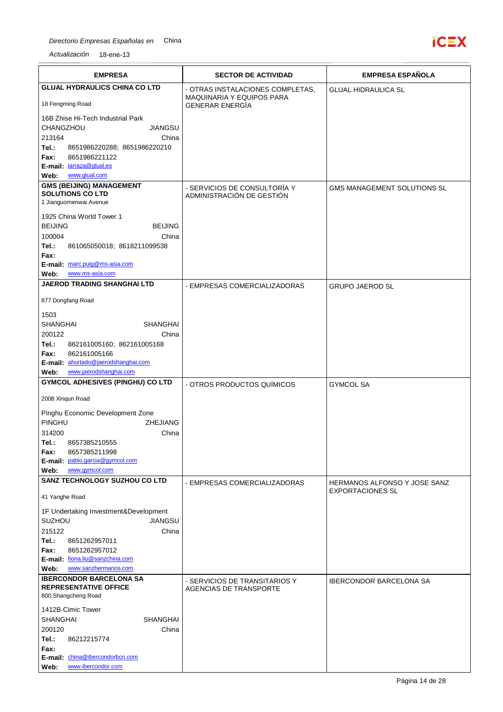## Directorio Empresas Españolas en China



| <b>EMPRESA</b>                                                           | <b>SECTOR DE ACTIVIDAD</b>       | <b>EMPRESA ESPAÑOLA</b>                                        |
|--------------------------------------------------------------------------|----------------------------------|----------------------------------------------------------------|
| <b>GLUAL HYDRAULICS CHINA CO LTD</b>                                     | - OTRAS INSTALACIONES COMPLETAS. | <b>GLUAL HIDRAULICA SL</b>                                     |
|                                                                          | MAQUINARIA Y EQUIPOS PARA        |                                                                |
| 18 Fengming Road                                                         | <b>GENERAR ENERGIA</b>           |                                                                |
| 16B Zhise Hi-Tech Industrial Park                                        |                                  |                                                                |
| CHANGZHOU<br><b>JIANGSU</b>                                              |                                  |                                                                |
| 213164<br>China                                                          |                                  |                                                                |
| Tel.:<br>8651986220288; 8651986220210<br>8651986221122<br>Fax:           |                                  |                                                                |
| E-mail: larraza@glual.es                                                 |                                  |                                                                |
| www.glual.com<br>Web:                                                    |                                  |                                                                |
| <b>GMS (BEIJING) MANAGEMENT</b>                                          | - SERVICIOS DE CONSULTORÍA Y     | <b>GMS MANAGEMENT SOLUTIONS SL</b>                             |
| <b>SOLUTIONS CO LTD</b><br>1 Jianguomenwai Avenue                        | ADMINISTRACIÓN DE GESTIÓN        |                                                                |
|                                                                          |                                  |                                                                |
| 1925 China World Tower 1                                                 |                                  |                                                                |
| <b>BEIJING</b><br><b>BEIJING</b>                                         |                                  |                                                                |
| 100004<br>China<br>Tel.:<br>861065050018; 8618211099538                  |                                  |                                                                |
| Fax:                                                                     |                                  |                                                                |
| E-mail: marc.puig@ms-asia.com                                            |                                  |                                                                |
| www.ms-asia.com<br>Web:                                                  |                                  |                                                                |
| <b>JAEROD TRADING SHANGHAI LTD</b>                                       | - EMPRESAS COMERCIALIZADORAS     | <b>GRUPO JAEROD SL</b>                                         |
| 877 Dongfang Road                                                        |                                  |                                                                |
|                                                                          |                                  |                                                                |
| 1503<br><b>SHANGHAI</b><br>SHANGHAI                                      |                                  |                                                                |
| 200122<br>China                                                          |                                  |                                                                |
| Tel.:<br>862161005160; 862161005168                                      |                                  |                                                                |
| Fax:<br>862161005166                                                     |                                  |                                                                |
| E-mail: ahurtado@jaerodshanghai.com                                      |                                  |                                                                |
| www.jaerodshanghai.com<br>Web:                                           |                                  |                                                                |
| <b>GYMCOL ADHESIVES (PINGHU) CO LTD</b>                                  | - OTROS PRODUCTOS QUÍMICOS       | <b>GYMCOL SA</b>                                               |
| 2008 Xinqun Road                                                         |                                  |                                                                |
| Pinghu Economic Development Zone                                         |                                  |                                                                |
| PINGHU<br>ZHEJIANG                                                       |                                  |                                                                |
| China<br>314200                                                          |                                  |                                                                |
| 8657385210555<br>Tel.:                                                   |                                  |                                                                |
| 8657385211998<br>Fax:                                                    |                                  |                                                                |
| E-mail: pablo.garcia@gymcol.com<br>www.gymcol.com<br>Web:                |                                  |                                                                |
| SANZ TECHNOLOGY SUZHOU CO LTD                                            |                                  |                                                                |
| 41 Yanghe Road                                                           | - EMPRESAS COMERCIALIZADORAS     | <b>HERMANOS ALFONSO Y JOSE SANZ</b><br><b>EXPORTACIONES SL</b> |
|                                                                          |                                  |                                                                |
| 1F Undertaking Investment&Development<br><b>SUZHOU</b><br><b>JIANGSU</b> |                                  |                                                                |
| 215122<br>China                                                          |                                  |                                                                |
| Tel.:<br>8651262957011                                                   |                                  |                                                                |
| Fax:<br>8651262957012                                                    |                                  |                                                                |
| E-mail: fiona.liu@sanzchina.com                                          |                                  |                                                                |
| www.sanzhermanos.com<br>Web:                                             |                                  |                                                                |
| <b>IBERCONDOR BARCELONA SA</b><br><b>REPRESENTATIVE OFFICE</b>           | - SERVICIOS DE TRANSITARIOS Y    | <b>IBERCONDOR BARCELONA SA</b>                                 |
| 800 Shangcheng Road                                                      | AGENCIAS DE TRANSPORTE           |                                                                |
| 1412B Cimic Tower                                                        |                                  |                                                                |
| <b>SHANGHAI</b><br>SHANGHAI                                              |                                  |                                                                |
| 200120<br>China                                                          |                                  |                                                                |
| Tel.:<br>86212215774                                                     |                                  |                                                                |
| Fax:                                                                     |                                  |                                                                |
| E-mail: china@ibercondorbcn.com                                          |                                  |                                                                |
| www.ibercondor.com<br>Web:                                               |                                  |                                                                |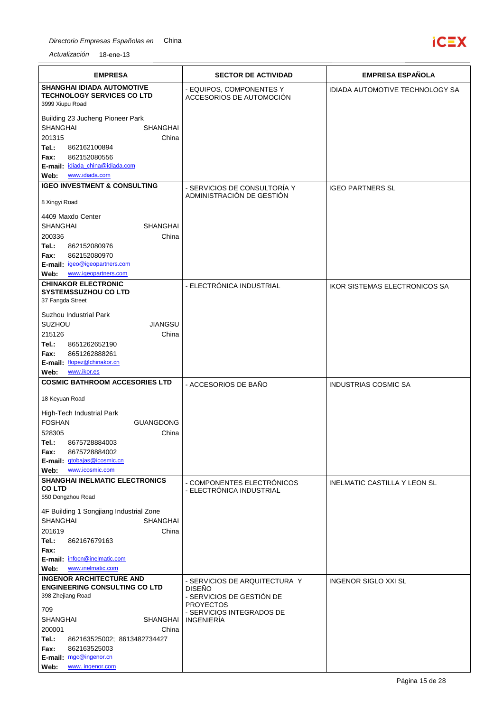

| <b>EMPRESA</b>                                                                                                                                                                                                                                                              | <b>SECTOR DE ACTIVIDAD</b>                                                                                                                        | <b>EMPRESA ESPAÑOLA</b>              |
|-----------------------------------------------------------------------------------------------------------------------------------------------------------------------------------------------------------------------------------------------------------------------------|---------------------------------------------------------------------------------------------------------------------------------------------------|--------------------------------------|
| <b>SHANGHAI IDIADA AUTOMOTIVE</b><br><b>TECHNOLOGY SERVICES CO LTD</b><br>3999 Xiupu Road                                                                                                                                                                                   | - EQUIPOS, COMPONENTES Y<br>ACCESORIOS DE AUTOMOCIÓN                                                                                              | IDIADA AUTOMOTIVE TECHNOLOGY SA      |
| Building 23 Jucheng Pioneer Park<br><b>SHANGHAI</b><br><b>SHANGHAI</b><br>201315<br>China<br>Tel.:<br>862162100894<br>862152080556<br>Fax:<br>E-mail: idiada china@idiada.com<br>www.idiada.com<br>Web:                                                                     |                                                                                                                                                   |                                      |
| <b>IGEO INVESTMENT &amp; CONSULTING</b>                                                                                                                                                                                                                                     | - SERVICIOS DE CONSULTORÍA Y<br>ADMINISTRACIÓN DE GESTIÓN                                                                                         | <b>IGEO PARTNERS SL</b>              |
| 8 Xingyi Road<br>4409 Maxdo Center<br><b>SHANGHAI</b><br><b>SHANGHAI</b><br>200336<br>China<br>Tel.:<br>862152080976                                                                                                                                                        |                                                                                                                                                   |                                      |
| 862152080970<br>Fax:<br>E-mail: igeo@igeopartners.com                                                                                                                                                                                                                       |                                                                                                                                                   |                                      |
| www.igeopartners.com<br>Web:                                                                                                                                                                                                                                                |                                                                                                                                                   |                                      |
| <b>CHINAKOR ELECTRONIC</b><br><b>SYSTEMSSUZHOU CO LTD</b><br>37 Fangda Street<br>Suzhou Industrial Park<br><b>JIANGSU</b><br><b>SUZHOU</b><br>215126<br>China<br>Tel.:<br>8651262652190<br>8651262888261<br>Fax:<br>E-mail: flopez@chinakor.cn<br>www.ikor.es<br>Web:       | - ELECTRÓNICA INDUSTRIAL                                                                                                                          | <b>IKOR SISTEMAS ELECTRONICOS SA</b> |
| <b>COSMIC BATHROOM ACCESORIES LTD</b>                                                                                                                                                                                                                                       | - ACCESORIOS DE BAÑO                                                                                                                              | <b>INDUSTRIAS COSMIC SA</b>          |
| 18 Keyuan Road<br>High-Tech Industrial Park<br><b>FOSHAN</b><br><b>GUANGDONG</b><br>528305<br>China<br>8675728884003<br>Tel.:<br>8675728884002<br>Fax:<br>E-mail: gtobajas@icosmic.cn<br>www.icosmic.com<br>Web:                                                            |                                                                                                                                                   |                                      |
| <b>SHANGHAI INELMATIC ELECTRONICS</b><br><b>COLTD</b><br>550 Dongzhou Road                                                                                                                                                                                                  | - COMPONENTES ELECTRÓNICOS<br>- ELECTRÓNICA INDUSTRIAL                                                                                            | <b>INELMATIC CASTILLA Y LEON SL</b>  |
| 4F Building 1 Songjiang Industrial Zone<br><b>SHANGHAI</b><br>SHANGHAI<br>201619<br>China<br>Tel.:<br>862167679163<br>Fax:<br>E-mail: infocn@inelmatic.com<br>www.inelmatic.com<br>Web:                                                                                     |                                                                                                                                                   |                                      |
| <b>INGENOR ARCHITECTURE AND</b><br><b>ENGINEERING CONSULTING CO LTD</b><br>398 Zhejiang Road<br>709<br><b>SHANGHAI</b><br>SHANGHAI<br>200001<br>China<br>Tel.:<br>862163525002; 8613482734427<br>Fax:<br>862163525003<br>E-mail: mgc@ingenor.cn<br>www. ingenor.com<br>Web: | - SERVICIOS DE ARQUITECTURA Y<br><b>DISEÑO</b><br>- SERVICIOS DE GESTIÓN DE<br><b>PROYECTOS</b><br>- SERVICIOS INTEGRADOS DE<br><b>INGENIERÍA</b> | <b>INGENOR SIGLO XXI SL</b>          |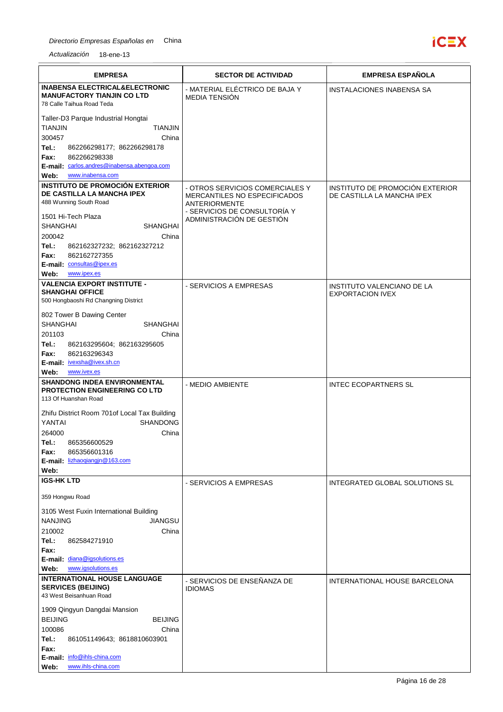

| <b>EMPRESA</b>                                                          | <b>SECTOR DE ACTIVIDAD</b>                                             | <b>EMPRESA ESPAÑOLA</b>                                       |
|-------------------------------------------------------------------------|------------------------------------------------------------------------|---------------------------------------------------------------|
| <b>INABENSA ELECTRICAL&amp;ELECTRONIC</b>                               | - MATERIAL ELÉCTRICO DE BAJA Y                                         | <b>INSTALACIONES INABENSA SA</b>                              |
| <b>MANUFACTORY TIANJIN CO LTD</b><br>78 Calle Taihua Road Teda          | <b>MEDIA TENSIÓN</b>                                                   |                                                               |
|                                                                         |                                                                        |                                                               |
| Taller-D3 Parque Industrial Hongtai<br><b>TIANJIN</b><br><b>TIANJIN</b> |                                                                        |                                                               |
| 300457<br>China                                                         |                                                                        |                                                               |
| Tel.:<br>862266298177; 862266298178                                     |                                                                        |                                                               |
| Fax:<br>862266298338                                                    |                                                                        |                                                               |
| E-mail: carlos.andres@inabensa.abengoa.com<br>www.inabensa.com<br>Web:  |                                                                        |                                                               |
| <b>INSTITUTO DE PROMOCIÓN EXTERIOR</b>                                  |                                                                        |                                                               |
| DE CASTILLA LA MANCHA IPEX                                              | - OTROS SERVICIOS COMERCIALES Y<br><b>MERCANTILES NO ESPECIFICADOS</b> | INSTITUTO DE PROMOCIÓN EXTERIOR<br>DE CASTILLA LA MANCHA IPEX |
| 488 Wunning South Road                                                  | ANTERIORMENTE                                                          |                                                               |
| 1501 Hi-Tech Plaza                                                      | - SERVICIOS DE CONSULTORÍA Y<br>ADMINISTRACIÓN DE GESTIÓN              |                                                               |
| <b>SHANGHAI</b><br>SHANGHAI                                             |                                                                        |                                                               |
| 200042<br>China                                                         |                                                                        |                                                               |
| Tel.:<br>862162327232; 862162327212<br>862162727355<br>Fax:             |                                                                        |                                                               |
| E-mail: consultas@ipex.es                                               |                                                                        |                                                               |
| www.ipex.es<br>Web:                                                     |                                                                        |                                                               |
| <b>VALENCIA EXPORT INSTITUTE -</b>                                      | - SERVICIOS A EMPRESAS                                                 | INSTITUTO VALENCIANO DE LA                                    |
| <b>SHANGHAI OFFICE</b><br>500 Hongbaoshi Rd Changning District          |                                                                        | <b>EXPORTACION IVEX</b>                                       |
|                                                                         |                                                                        |                                                               |
| 802 Tower B Dawing Center<br><b>SHANGHAI</b><br><b>SHANGHAI</b>         |                                                                        |                                                               |
| 201103<br>China                                                         |                                                                        |                                                               |
| Tel.:<br>862163295604; 862163295605                                     |                                                                        |                                                               |
| Fax:<br>862163296343                                                    |                                                                        |                                                               |
| E-mail: ivexsha@ivex.sh.cn<br>Web:<br>www.ivex.es                       |                                                                        |                                                               |
| <b>SHANDONG INDEA ENVIRONMENTAL</b>                                     | - MEDIO AMBIENTE                                                       | <b>INTEC ECOPARTNERS SL</b>                                   |
| <b>PROTECTION ENGINEERING CO LTD</b>                                    |                                                                        |                                                               |
| 113 Of Huanshan Road                                                    |                                                                        |                                                               |
| Zhifu District Room 701of Local Tax Building                            |                                                                        |                                                               |
| <b>SHANDONG</b><br>YANTAI                                               |                                                                        |                                                               |
| China<br>264000<br>865356600529<br>Tel.:                                |                                                                        |                                                               |
| 865356601316<br>Fax:                                                    |                                                                        |                                                               |
| E-mail: lizhaogiangjn@163.com                                           |                                                                        |                                                               |
| Web:                                                                    |                                                                        |                                                               |
| <b>IGS-HK LTD</b>                                                       | - SERVICIOS A EMPRESAS                                                 | INTEGRATED GLOBAL SOLUTIONS SL                                |
| 359 Hongwu Road                                                         |                                                                        |                                                               |
| 3105 West Fuxin International Building                                  |                                                                        |                                                               |
| <b>JIANGSU</b><br><b>NANJING</b>                                        |                                                                        |                                                               |
| 210002<br>China                                                         |                                                                        |                                                               |
| Tel.:<br>862584271910<br>Fax:                                           |                                                                        |                                                               |
| E-mail: diana@igsolutions.es                                            |                                                                        |                                                               |
| www.igsolutions.es<br>Web:                                              |                                                                        |                                                               |
| INTERNATIONAL HOUSE LANGUAGE                                            | - SERVICIOS DE ENSEÑANZA DE                                            | INTERNATIONAL HOUSE BARCELONA                                 |
| <b>SERVICES (BEIJING)</b><br>43 West Beisanhuan Road                    | <b>IDIOMAS</b>                                                         |                                                               |
| 1909 Qingyun Dangdai Mansion                                            |                                                                        |                                                               |
| <b>BEIJING</b><br><b>BEIJING</b>                                        |                                                                        |                                                               |
| 100086<br>China                                                         |                                                                        |                                                               |
| Tel.:<br>861051149643; 8618810603901                                    |                                                                        |                                                               |
| Fax:<br>E-mail: info@ihls-china.com                                     |                                                                        |                                                               |
| www.ihls-china.com<br>Web:                                              |                                                                        |                                                               |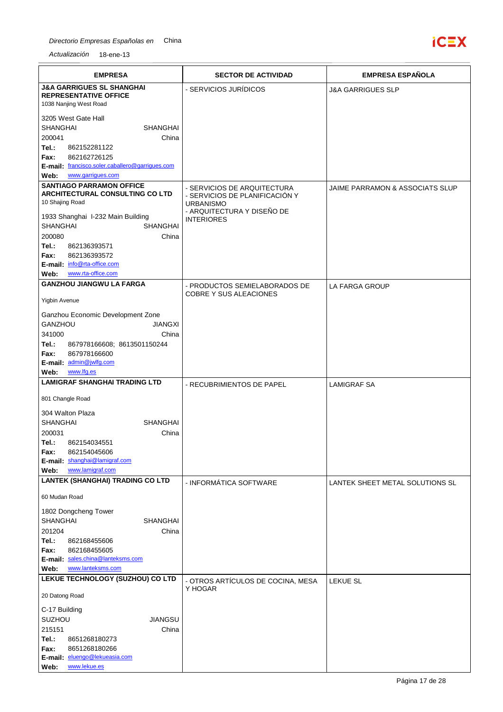

| <b>EMPRESA</b>                                                     | <b>SECTOR DE ACTIVIDAD</b>                         | <b>EMPRESA ESPAÑOLA</b>         |
|--------------------------------------------------------------------|----------------------------------------------------|---------------------------------|
| <b>J&amp;A GARRIGUES SL SHANGHAI</b>                               | - SERVICIOS JURÍDICOS                              | <b>J&amp;A GARRIGUES SLP</b>    |
| <b>REPRESENTATIVE OFFICE</b><br>1038 Nanjing West Road             |                                                    |                                 |
| 3205 West Gate Hall                                                |                                                    |                                 |
| <b>SHANGHAI</b><br><b>SHANGHAI</b>                                 |                                                    |                                 |
| 200041<br>China                                                    |                                                    |                                 |
| Tel.:<br>862152281122<br>862162726125                              |                                                    |                                 |
| Fax:<br>E-mail: francisco.soler.caballero@garriques.com            |                                                    |                                 |
| www.garrigues.com<br>Web:                                          |                                                    |                                 |
| <b>SANTIAGO PARRAMON OFFICE</b><br>ARCHITECTURAL CONSULTING CO LTD | - SERVICIOS DE ARQUITECTURA                        | JAIME PARRAMON & ASSOCIATS SLUP |
| 10 Shajing Road                                                    | - SERVICIOS DE PLANIFICACIÓN Y<br><b>URBANISMO</b> |                                 |
| 1933 Shanghai I-232 Main Building                                  | - ARQUITECTURA Y DISEÑO DE                         |                                 |
| <b>SHANGHAI</b><br><b>SHANGHAI</b>                                 | <b>INTERIORES</b>                                  |                                 |
| 200080<br>China                                                    |                                                    |                                 |
| Tel.:<br>862136393571                                              |                                                    |                                 |
| 862136393572<br>Fax:<br>E-mail: info@rta-office.com                |                                                    |                                 |
| www.rta-office.com<br>Web:                                         |                                                    |                                 |
| <b>GANZHOU JIANGWU LA FARGA</b>                                    | - PRODUCTOS SEMIELABORADOS DE                      | <b>LA FARGA GROUP</b>           |
| Yigbin Avenue                                                      | <b>COBRE Y SUS ALEACIONES</b>                      |                                 |
| Ganzhou Economic Development Zone                                  |                                                    |                                 |
| GANZHOU<br><b>JIANGXI</b>                                          |                                                    |                                 |
| 341000<br>China<br>Tel.:                                           |                                                    |                                 |
| 867978166608; 8613501150244<br>867978166600<br>Fax:                |                                                    |                                 |
| E-mail: admin@jwlfg.com                                            |                                                    |                                 |
| www.lfg.es<br>Web:                                                 |                                                    |                                 |
| <b>LAMIGRAF SHANGHAI TRADING LTD</b>                               | - RECUBRIMIENTOS DE PAPEL                          | <b>LAMIGRAF SA</b>              |
| 801 Changle Road                                                   |                                                    |                                 |
| 304 Walton Plaza<br><b>SHANGHAI</b><br><b>SHANGHAI</b>             |                                                    |                                 |
| 200031<br>China                                                    |                                                    |                                 |
| 862154034551<br>Tel.:                                              |                                                    |                                 |
| Fax:<br>862154045606<br>E-mail: shanghai@lamigraf.com              |                                                    |                                 |
| www.lamigraf.com<br>Web:                                           |                                                    |                                 |
| LANTEK (SHANGHAI) TRADING CO LTD                                   | - INFORMÁTICA SOFTWARE                             | LANTEK SHEET METAL SOLUTIONS SL |
| 60 Mudan Road                                                      |                                                    |                                 |
| 1802 Dongcheng Tower                                               |                                                    |                                 |
| <b>SHANGHAI</b><br><b>SHANGHAI</b>                                 |                                                    |                                 |
| 201204<br>China                                                    |                                                    |                                 |
| Tel.:<br>862168455606<br>Fax:<br>862168455605                      |                                                    |                                 |
| E-mail: sales.china@lanteksms.com                                  |                                                    |                                 |
| Web:<br>www.lanteksms.com                                          |                                                    |                                 |
| LEKUE TECHNOLOGY (SUZHOU) CO LTD                                   | - OTROS ARTÍCULOS DE COCINA, MESA                  | <b>LEKUE SL</b>                 |
| 20 Datong Road                                                     | Y HOGAR                                            |                                 |
| C-17 Building                                                      |                                                    |                                 |
| SUZHOU<br><b>JIANGSU</b>                                           |                                                    |                                 |
| 215151<br>China<br>Tel.:<br>8651268180273                          |                                                    |                                 |
| 8651268180266<br>Fax:                                              |                                                    |                                 |
| E-mail: eluengo@lekueasia.com                                      |                                                    |                                 |
| www.lekue.es<br>Web:                                               |                                                    |                                 |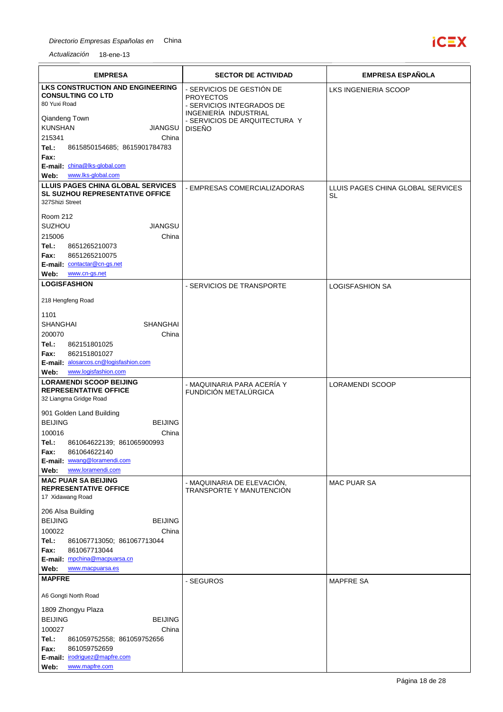

| <b>EMPRESA</b>                                                                                       | <b>SECTOR DE ACTIVIDAD</b>                                                                          | <b>EMPRESA ESPAÑOLA</b>                 |
|------------------------------------------------------------------------------------------------------|-----------------------------------------------------------------------------------------------------|-----------------------------------------|
| <b>LKS CONSTRUCTION AND ENGINEERING</b><br><b>CONSULTING CO LTD</b><br>80 Yuxi Road<br>Qiandeng Town | - SERVICIOS DE GESTIÓN DE<br><b>PROYECTOS</b><br>- SERVICIOS INTEGRADOS DE<br>INGENIERÍA INDUSTRIAL | LKS INGENIERIA SCOOP                    |
| <b>KUNSHAN</b><br>JIANGSU<br>215341<br>China                                                         | - SERVICIOS DE ARQUITECTURA Y<br><b>DISEÑO</b>                                                      |                                         |
| Tel.:<br>8615850154685; 8615901784783<br>Fax:<br>E-mail: china@lks-global.com                        |                                                                                                     |                                         |
| www.lks-global.com<br>Web:                                                                           |                                                                                                     |                                         |
| LLUIS PAGES CHINA GLOBAL SERVICES<br>SL SUZHOU REPRESENTATIVE OFFICE<br>327Shizi Street              | - EMPRESAS COMERCIALIZADORAS                                                                        | LLUIS PAGES CHINA GLOBAL SERVICES<br>SL |
| Room 212<br><b>SUZHOU</b><br><b>JIANGSU</b><br>215006<br>China                                       |                                                                                                     |                                         |
| Tel.:<br>8651265210073<br>8651265210075<br>Fax:<br>E-mail: contactar@cn-gs.net                       |                                                                                                     |                                         |
| Web:<br>www.cn-gs.net<br><b>LOGISFASHION</b>                                                         |                                                                                                     |                                         |
| 218 Hengfeng Road                                                                                    | - SERVICIOS DE TRANSPORTE                                                                           | <b>LOGISFASHION SA</b>                  |
| 1101                                                                                                 |                                                                                                     |                                         |
| <b>SHANGHAI</b><br><b>SHANGHAI</b>                                                                   |                                                                                                     |                                         |
| 200070<br>China<br>Tel.:<br>862151801025                                                             |                                                                                                     |                                         |
| 862151801027<br>Fax:                                                                                 |                                                                                                     |                                         |
| E-mail: alosarcos.cn@logisfashion.com<br>www.logisfashion.com                                        |                                                                                                     |                                         |
| Web:<br><b>LORAMENDI SCOOP BEIJING</b>                                                               | - MAQUINARIA PARA ACERÍA Y                                                                          | LORAMENDI SCOOP                         |
| <b>REPRESENTATIVE OFFICE</b><br>32 Liangma Gridge Road                                               | FUNDICIÓN METALÚRGICA                                                                               |                                         |
| 901 Golden Land Building<br><b>BEIJING</b><br><b>BEIJING</b>                                         |                                                                                                     |                                         |
| 100016<br>China                                                                                      |                                                                                                     |                                         |
| 861064622139; 861065900993<br>Tel.:                                                                  |                                                                                                     |                                         |
| Fax:<br>861064622140<br>E-mail: wwang@loramendi.com                                                  |                                                                                                     |                                         |
| www.loramendi.com<br>Web:                                                                            |                                                                                                     |                                         |
| <b>MAC PUAR SA BEIJING</b><br><b>REPRESENTATIVE OFFICE</b><br>17 Xidawang Road                       | - MAQUINARIA DE ELEVACIÓN,<br>TRANSPORTE Y MANUTENCIÓN                                              | <b>MAC PUAR SA</b>                      |
| 206 Alsa Building                                                                                    |                                                                                                     |                                         |
| <b>BEIJING</b><br><b>BEIJING</b><br>100022<br>China                                                  |                                                                                                     |                                         |
| Tel.:<br>861067713050; 861067713044                                                                  |                                                                                                     |                                         |
| 861067713044<br>Fax:                                                                                 |                                                                                                     |                                         |
| E-mail: mpchina@macpuarsa.cn<br>Web:<br>www.macpuarsa.es                                             |                                                                                                     |                                         |
| <b>MAPFRE</b>                                                                                        | - SEGUROS                                                                                           | <b>MAPFRE SA</b>                        |
| A6 Gongti North Road                                                                                 |                                                                                                     |                                         |
| 1809 Zhongyu Plaza                                                                                   |                                                                                                     |                                         |
| <b>BEIJING</b><br><b>BEIJING</b>                                                                     |                                                                                                     |                                         |
| 100027<br>China<br>Tel.:<br>861059752558; 861059752656                                               |                                                                                                     |                                         |
| Fax:<br>861059752659                                                                                 |                                                                                                     |                                         |
| E-mail: irodriguez@mapfre.com<br>www.mapfre.com<br>Web:                                              |                                                                                                     |                                         |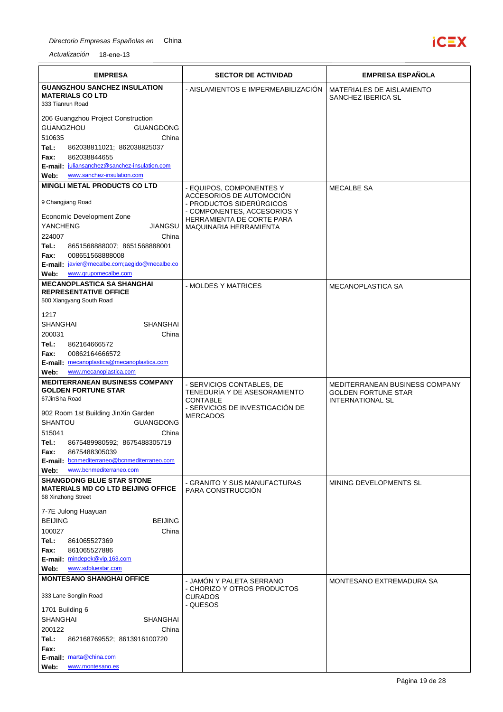

| <b>EMPRESA</b>                                                                                                                                                                                                                                                                                                                                                       | <b>SECTOR DE ACTIVIDAD</b>                                                                                                         | <b>EMPRESA ESPAÑOLA</b>                                                                 |
|----------------------------------------------------------------------------------------------------------------------------------------------------------------------------------------------------------------------------------------------------------------------------------------------------------------------------------------------------------------------|------------------------------------------------------------------------------------------------------------------------------------|-----------------------------------------------------------------------------------------|
| <b>GUANGZHOU SANCHEZ INSULATION</b><br><b>MATERIALS CO LTD</b><br>333 Tianrun Road                                                                                                                                                                                                                                                                                   | - AISLAMIENTOS E IMPERMEABILIZACION                                                                                                | MATERIALES DE AISLAMIENTO<br>SANCHEZ IBERICA SL                                         |
| 206 Guangzhou Project Construction<br>GUANGZHOU<br><b>GUANGDONG</b><br>510635<br>China<br>Tel.:<br>862038811021; 862038825037<br>862038844655<br>Fax:                                                                                                                                                                                                                |                                                                                                                                    |                                                                                         |
| E-mail: juliansanchez@sanchez-insulation.com<br>www.sanchez-insulation.com<br>Web:                                                                                                                                                                                                                                                                                   |                                                                                                                                    |                                                                                         |
| <b>MINGLI METAL PRODUCTS CO LTD</b>                                                                                                                                                                                                                                                                                                                                  | - EQUIPOS, COMPONENTES Y                                                                                                           | <b>MECALBE SA</b>                                                                       |
| 9 Changjiang Road                                                                                                                                                                                                                                                                                                                                                    | ACCESORIOS DE AUTOMOCIÓN<br>- PRODUCTOS SIDERÚRGICOS<br>- COMPONENTES, ACCESORIOS Y                                                |                                                                                         |
| Economic Development Zone<br><b>YANCHENG</b><br>JIANGSU                                                                                                                                                                                                                                                                                                              | HERRAMIENTA DE CORTE PARA<br>MAQUINARIA HERRAMIENTA                                                                                |                                                                                         |
| 224007<br>China<br>Tel.:<br>8651568888007; 8651568888001<br>008651568888008<br>Fax:<br>E-mail: javier@mecalbe.com;aegido@mecalbe.co<br>www.grupomecalbe.com<br>Web:                                                                                                                                                                                                  |                                                                                                                                    |                                                                                         |
| <b>MECANOPLASTICA SA SHANGHAI</b>                                                                                                                                                                                                                                                                                                                                    | - MOLDES Y MATRICES                                                                                                                | <b>MECANOPLASTICA SA</b>                                                                |
| <b>REPRESENTATIVE OFFICE</b><br>500 Xiangyang South Road                                                                                                                                                                                                                                                                                                             |                                                                                                                                    |                                                                                         |
| 1217<br><b>SHANGHAI</b><br><b>SHANGHAI</b><br>200031<br>China<br>Tel.:<br>862164666572<br>Fax:<br>00862164666572<br>E-mail: mecanoplastica@mecanoplastica.com<br>www.mecanoplastica.com<br>Web:<br><b>MEDITERRANEAN BUSINESS COMPANY</b><br><b>GOLDEN FORTUNE STAR</b><br>67JinSha Road<br>902 Room 1st Building JinXin Garden<br><b>SHANTOU</b><br><b>GUANGDONG</b> | - SERVICIOS CONTABLES, DE<br>TENEDURÍA Y DE ASESORAMIENTO<br><b>CONTABLE</b><br>- SERVICIOS DE INVESTIGACIÓN DE<br><b>MERCADOS</b> | MEDITERRANEAN BUSINESS COMPANY<br><b>GOLDEN FORTUNE STAR</b><br><b>INTERNATIONAL SL</b> |
| 515041<br>China<br>Tel.:<br>8675489980592; 8675488305719<br>8675488305039<br>Fax:<br>E-mail: bcnmediterraneo@bcnmediterraneo.com<br>www.bcnmediterraneo.com<br>Web:                                                                                                                                                                                                  |                                                                                                                                    |                                                                                         |
| <b>SHANGDONG BLUE STAR STONE</b><br><b>MATERIALS MD CO LTD BEIJING OFFICE</b><br>68 Xinzhong Street                                                                                                                                                                                                                                                                  | - GRANITO Y SUS MANUFACTURAS<br>PARA CONSTRUCCIÓN                                                                                  | MINING DEVELOPMENTS SL                                                                  |
| 7-7E Julong Huayuan<br><b>BEIJING</b><br><b>BEIJING</b><br>100027<br>China<br>Tel.:<br>861065527369<br>Fax:<br>861065527886<br>E-mail: mindepek@vip.163.com<br>www.sdbluestar.com<br>Web:                                                                                                                                                                            |                                                                                                                                    |                                                                                         |
| <b>MONTESANO SHANGHAI OFFICE</b>                                                                                                                                                                                                                                                                                                                                     | - JAMON Y PALETA SERRANO                                                                                                           | MONTESANO EXTREMADURA SA                                                                |
| 333 Lane Songlin Road<br>1701 Building 6                                                                                                                                                                                                                                                                                                                             | - CHORIZO Y OTROS PRODUCTOS<br><b>CURADOS</b><br>- QUESOS                                                                          |                                                                                         |
| <b>SHANGHAI</b><br>SHANGHAI<br>200122<br>China<br>Tel.:<br>862168769552; 8613916100720                                                                                                                                                                                                                                                                               |                                                                                                                                    |                                                                                         |
| Fax:                                                                                                                                                                                                                                                                                                                                                                 |                                                                                                                                    |                                                                                         |
| E-mail: marta@china.com<br>Web:<br>www.montesano.es                                                                                                                                                                                                                                                                                                                  |                                                                                                                                    |                                                                                         |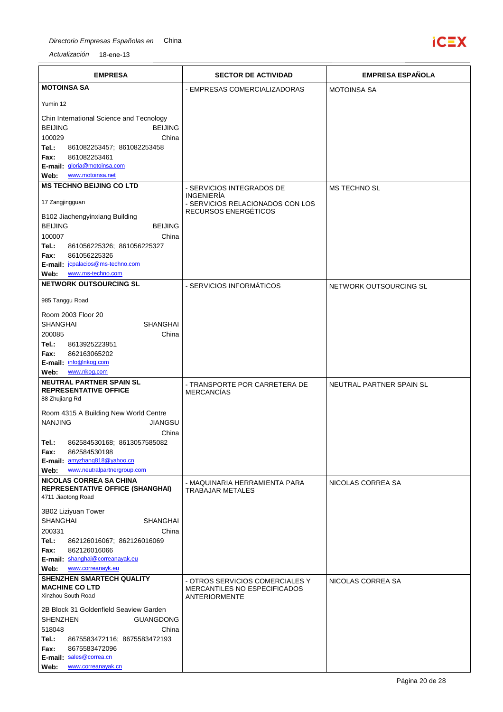## Directorio Empresas Españolas en China



| <b>EMPRESA</b>                                                           | <b>SECTOR DE ACTIVIDAD</b>                                                              | <b>EMPRESA ESPAÑOLA</b>  |
|--------------------------------------------------------------------------|-----------------------------------------------------------------------------------------|--------------------------|
| <b>MOTOINSA SA</b>                                                       | - EMPRESAS COMERCIALIZADORAS                                                            | <b>MOTOINSA SA</b>       |
| Yumin 12                                                                 |                                                                                         |                          |
| Chin International Science and Tecnology                                 |                                                                                         |                          |
| <b>BEIJING</b><br><b>BEIJING</b>                                         |                                                                                         |                          |
| 100029<br>China<br>Tel.:<br>861082253457; 861082253458                   |                                                                                         |                          |
| Fax:<br>861082253461                                                     |                                                                                         |                          |
| E-mail: gloria@motoinsa.com                                              |                                                                                         |                          |
| Web:<br>www.motoinsa.net<br><b>MS TECHNO BEIJING CO LTD</b>              |                                                                                         |                          |
|                                                                          | - SERVICIOS INTEGRADOS DE<br><b>INGENIERÍA</b>                                          | <b>MS TECHNO SL</b>      |
| 17 Zangjingguan                                                          | - SERVICIOS RELACIONADOS CON LOS                                                        |                          |
| B102 Jiachengyinxiang Building                                           | RECURSOS ENERGÉTICOS                                                                    |                          |
| <b>BEIJING</b><br><b>BEIJING</b>                                         |                                                                                         |                          |
| 100007<br>China<br>Tel.:<br>861056225326; 861056225327                   |                                                                                         |                          |
| 861056225326<br>Fax:                                                     |                                                                                         |                          |
| E-mail: jcpalacios@ms-techno.com                                         |                                                                                         |                          |
| www.ms-techno.com<br>Web:<br><b>NETWORK OUTSOURCING SL</b>               |                                                                                         |                          |
|                                                                          | - SERVICIOS INFORMÁTICOS                                                                | NETWORK OUTSOURCING SL   |
| 985 Tanggu Road                                                          |                                                                                         |                          |
| Room 2003 Floor 20<br><b>SHANGHAI</b><br><b>SHANGHAI</b>                 |                                                                                         |                          |
| 200085<br>China                                                          |                                                                                         |                          |
| Tel.:<br>8613925223951                                                   |                                                                                         |                          |
| 862163065202<br>Fax:                                                     |                                                                                         |                          |
| E-mail: info@nkog.com<br>www.nkog.com<br>Web:                            |                                                                                         |                          |
| <b>NEUTRAL PARTNER SPAIN SL</b>                                          | - TRANSPORTE POR CARRETERA DE                                                           | NEUTRAL PARTNER SPAIN SL |
| <b>REPRESENTATIVE OFFICE</b>                                             | <b>MERCANCÍAS</b>                                                                       |                          |
| 88 Zhujiang Rd                                                           |                                                                                         |                          |
| Room 4315 A Building New World Centre<br><b>NANJING</b>                  |                                                                                         |                          |
| <b>JIANGSU</b><br>China                                                  |                                                                                         |                          |
| 862584530168; 8613057585082<br>Tel.:                                     |                                                                                         |                          |
| 862584530198<br>Fax:                                                     |                                                                                         |                          |
| E-mail: amyzhang818@yahoo.cn<br>Web:<br>www.neutralpartnergroup.com      |                                                                                         |                          |
| <b>NICOLAS CORREA SA CHINA</b>                                           | - MAQUINARIA HERRAMIENTA PARA                                                           | NICOLAS CORREA SA        |
| <b>REPRESENTATIVE OFFICE (SHANGHAI)</b><br>4711 Jiaotong Road            | <b>TRABAJAR METALES</b>                                                                 |                          |
| 3B02 Liziyuan Tower                                                      |                                                                                         |                          |
| <b>SHANGHAI</b><br><b>SHANGHAI</b>                                       |                                                                                         |                          |
| 200331<br>China                                                          |                                                                                         |                          |
| Tel.:<br>862126016067; 862126016069<br>Fax:<br>862126016066              |                                                                                         |                          |
| E-mail: shanghai@correanayak.eu                                          |                                                                                         |                          |
| Web:<br>www.correanayk.eu                                                |                                                                                         |                          |
| SHENZHEN SMARTECH QUALITY<br><b>MACHINE CO LTD</b><br>Xinzhou South Road | - OTROS SERVICIOS COMERCIALES Y<br><b>MERCANTILES NO ESPECIFICADOS</b><br>ANTERIORMENTE | NICOLAS CORREA SA        |
| 2B Block 31 Goldenfield Seaview Garden                                   |                                                                                         |                          |
| <b>SHENZHEN</b><br><b>GUANGDONG</b>                                      |                                                                                         |                          |
| 518048<br>China                                                          |                                                                                         |                          |
| Tel.:<br>8675583472116; 8675583472193<br>Fax:<br>8675583472096           |                                                                                         |                          |
| E-mail: sales@correa.cn                                                  |                                                                                         |                          |
| www.correanayak.cn<br>Web:                                               |                                                                                         |                          |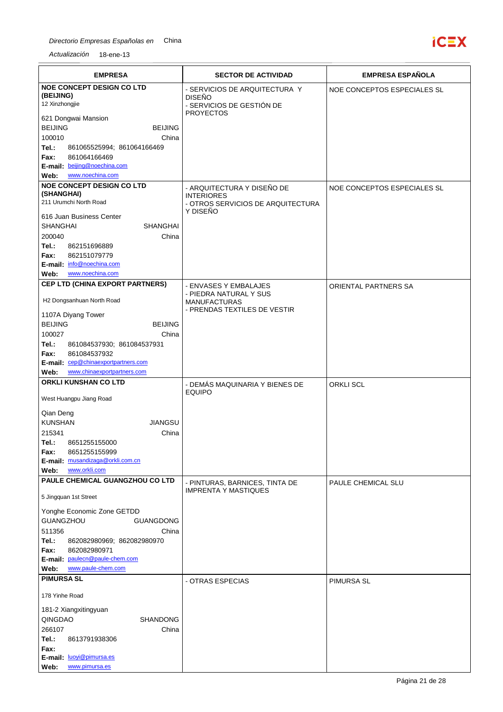

| <b>EMPRESA</b>                                                  | <b>SECTOR DE ACTIVIDAD</b>                                                  | <b>EMPRESA ESPAÑOLA</b>     |
|-----------------------------------------------------------------|-----------------------------------------------------------------------------|-----------------------------|
| <b>NOE CONCEPT DESIGN CO LTD</b><br>(BEIJING)<br>12 Xinzhongjie | - SERVICIOS DE ARQUITECTURA Y<br><b>DISEÑO</b><br>- SERVICIOS DE GESTIÓN DE | NOE CONCEPTOS ESPECIALES SL |
| 621 Dongwai Mansion<br><b>BEIJING</b><br><b>BEIJING</b>         | <b>PROYECTOS</b>                                                            |                             |
| 100010<br>China                                                 |                                                                             |                             |
| Tel.:<br>861065525994; 861064166469                             |                                                                             |                             |
| 861064166469<br>Fax:<br>E-mail: beijing@noechina.com            |                                                                             |                             |
| www.noechina.com<br>Web:                                        |                                                                             |                             |
| <b>NOE CONCEPT DESIGN CO LTD</b><br>(SHANGHAI)                  | - ARQUITECTURA Y DISEÑO DE                                                  | NOE CONCEPTOS ESPECIALES SL |
| 211 Urumchi North Road                                          | <b>INTERIORES</b><br>- OTROS SERVICIOS DE ARQUITECTURA                      |                             |
| 616 Juan Business Center                                        | Y DISEÑO                                                                    |                             |
| <b>SHANGHAI</b><br><b>SHANGHAI</b>                              |                                                                             |                             |
| 200040<br>China                                                 |                                                                             |                             |
| Tel.:<br>862151696889<br>Fax:<br>862151079779                   |                                                                             |                             |
| E-mail: info@noechina.com                                       |                                                                             |                             |
| www.noechina.com<br>Web:                                        |                                                                             |                             |
| CEP LTD (CHINA EXPORT PARTNERS)                                 | - ENVASES Y EMBALAJES<br>- PIEDRA NATURAL Y SUS                             | ORIENTAL PARTNERS SA        |
| H2 Dongsanhuan North Road                                       | <b>MANUFACTURAS</b><br>- PRENDAS TEXTILES DE VESTIR                         |                             |
| 1107A Diyang Tower<br><b>BEIJING</b><br><b>BEIJING</b>          |                                                                             |                             |
| 100027<br>China                                                 |                                                                             |                             |
| Tel.:<br>861084537930; 861084537931                             |                                                                             |                             |
| 861084537932<br>Fax:<br>E-mail: cep@chinaexportpartners.com     |                                                                             |                             |
| www.chinaexportpartners.com<br>Web:                             |                                                                             |                             |
| ORKLI KUNSHAN CO LTD                                            | - DEMÁS MAQUINARIA Y BIENES DE                                              | <b>ORKLI SCL</b>            |
| West Huangpu Jiang Road                                         | <b>EQUIPO</b>                                                               |                             |
| Qian Deng                                                       |                                                                             |                             |
| <b>KUNSHAN</b><br><b>JIANGSU</b><br>215341<br>China             |                                                                             |                             |
| Tel.:<br>8651255155000                                          |                                                                             |                             |
| 8651255155999<br>Fax:                                           |                                                                             |                             |
| E-mail: musandizaga@orkli.com.cn<br>www.orkli.com<br>Web:       |                                                                             |                             |
| PAULE CHEMICAL GUANGZHOU CO LTD                                 | - PINTURAS, BARNICES, TINTA DE                                              | PAULE CHEMICAL SLU          |
| 5 Jingquan 1st Street                                           | <b>IMPRENTA Y MASTIQUES</b>                                                 |                             |
| Yonghe Economic Zone GETDD                                      |                                                                             |                             |
| GUANGZHOU<br><b>GUANGDONG</b>                                   |                                                                             |                             |
| 511356<br>China<br>Tel.:<br>862082980969; 862082980970          |                                                                             |                             |
| Fax:<br>862082980971                                            |                                                                             |                             |
| E-mail: paulecn@paule-chem.com                                  |                                                                             |                             |
| www.paule-chem.com<br>Web:<br><b>PIMURSA SL</b>                 |                                                                             |                             |
| 178 Yinhe Road                                                  | - OTRAS ESPECIAS                                                            | PIMURSA SL                  |
| 181-2 Xiangxitingyuan                                           |                                                                             |                             |
| QINGDAO<br><b>SHANDONG</b>                                      |                                                                             |                             |
| 266107<br>China                                                 |                                                                             |                             |
| Tel.:<br>8613791938306<br>Fax:                                  |                                                                             |                             |
| E-mail: luoyi@pimursa.es                                        |                                                                             |                             |
| www.pimursa.es<br>Web:                                          |                                                                             |                             |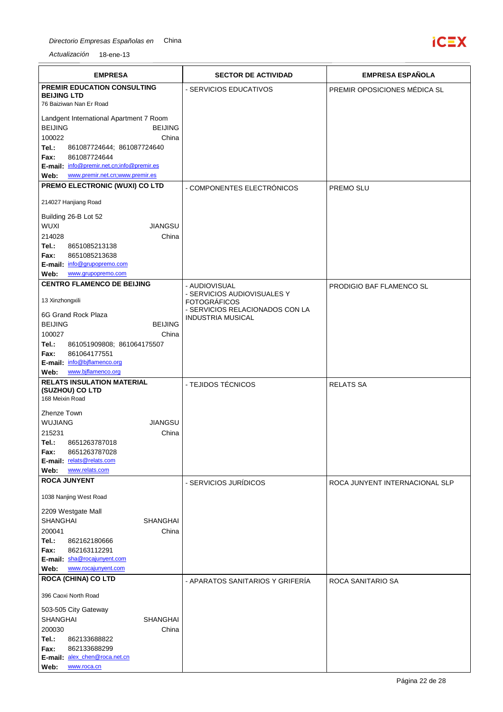

| <b>EMPRESA</b>                                                  | <b>SECTOR DE ACTIVIDAD</b>                             | <b>EMPRESA ESPAÑOLA</b>         |
|-----------------------------------------------------------------|--------------------------------------------------------|---------------------------------|
| <b>PREMIR EDUCATION CONSULTING</b>                              | - SERVICIOS EDUCATIVOS                                 | PREMIR OPOSICIONES MÉDICA SL    |
| <b>BEIJING LTD</b><br>76 Baiziwan Nan Er Road                   |                                                        |                                 |
| Landgent International Apartment 7 Room                         |                                                        |                                 |
| <b>BEIJING</b><br><b>BEIJING</b>                                |                                                        |                                 |
| 100022<br>China                                                 |                                                        |                                 |
| Tel.:<br>861087724644; 861087724640<br>861087724644<br>Fax:     |                                                        |                                 |
| E-mail: info@premir.net.cn;info@premir.es                       |                                                        |                                 |
| www.premir.net.cn;www.premir.es<br>Web:                         |                                                        |                                 |
| PREMO ELECTRONIC (WUXI) CO LTD                                  | - COMPONENTES ELECTRÓNICOS                             | PREMO SLU                       |
| 214027 Hanjiang Road                                            |                                                        |                                 |
| Building 26-B Lot 52                                            |                                                        |                                 |
| <b>WUXI</b><br><b>JIANGSU</b>                                   |                                                        |                                 |
| 214028<br>China<br>Tel.:<br>8651085213138                       |                                                        |                                 |
| 8651085213638<br>Fax:                                           |                                                        |                                 |
| E-mail: info@grupopremo.com                                     |                                                        |                                 |
| Web:<br>www.grupopremo.com<br><b>CENTRO FLAMENCO DE BEIJING</b> |                                                        |                                 |
|                                                                 | - AUDIOVISUAL<br>- SERVICIOS AUDIOVISUALES Y           | <b>PRODIGIO BAF FLAMENCO SL</b> |
| 13 Xinzhongxili                                                 | <b>FOTOGRÁFICOS</b><br>- SERVICIOS RELACIONADOS CON LA |                                 |
| 6G Grand Rock Plaza                                             | <b>INDUSTRIA MUSICAL</b>                               |                                 |
| <b>BEIJING</b><br><b>BEIJING</b><br>100027<br>China             |                                                        |                                 |
| Tel.:<br>861051909808; 861064175507                             |                                                        |                                 |
| 861064177551<br>Fax:                                            |                                                        |                                 |
| E-mail: info@bjflamenco.org<br>www.biflamenco.org<br>Web:       |                                                        |                                 |
| <b>RELATS INSULATION MATERIAL</b>                               | - TEJIDOS TÉCNICOS                                     | <b>RELATS SA</b>                |
| (SUZHOU) CO LTD<br>168 Meixin Road                              |                                                        |                                 |
|                                                                 |                                                        |                                 |
| Zhenze Town<br><b>WUJIANG</b><br><b>JIANGSU</b>                 |                                                        |                                 |
| 215231<br>China                                                 |                                                        |                                 |
| Tel.:<br>8651263787018                                          |                                                        |                                 |
| 8651263787028<br>Fax:<br>E-mail: relats@relats.com              |                                                        |                                 |
| www.relats.com<br>Web:                                          |                                                        |                                 |
| <b>ROCA JUNYENT</b>                                             | - SERVICIOS JURÍDICOS                                  | ROCA JUNYENT INTERNACIONAL SLP  |
| 1038 Nanjing West Road                                          |                                                        |                                 |
| 2209 Westgate Mall                                              |                                                        |                                 |
| <b>SHANGHAI</b><br><b>SHANGHAI</b>                              |                                                        |                                 |
| 200041<br>China                                                 |                                                        |                                 |
| Tel.:<br>862162180666<br>Fax:<br>862163112291                   |                                                        |                                 |
| E-mail: sha@rocajunyent.com                                     |                                                        |                                 |
| www.rocajunyent.com<br>Web:                                     |                                                        |                                 |
| <b>ROCA (CHINA) CO LTD</b>                                      | - APARATOS SANITARIOS Y GRIFERÍA                       | ROCA SANITARIO SA               |
| 396 Caoxi North Road                                            |                                                        |                                 |
| 503-505 City Gateway                                            |                                                        |                                 |
| <b>SHANGHAI</b><br><b>SHANGHAI</b>                              |                                                        |                                 |
| 200030<br>China<br>Tel.:<br>862133688822                        |                                                        |                                 |
| 862133688299<br>Fax:                                            |                                                        |                                 |
| E-mail: alex_chen@roca.net.cn<br>www.roca.cn<br>Web:            |                                                        |                                 |
|                                                                 |                                                        |                                 |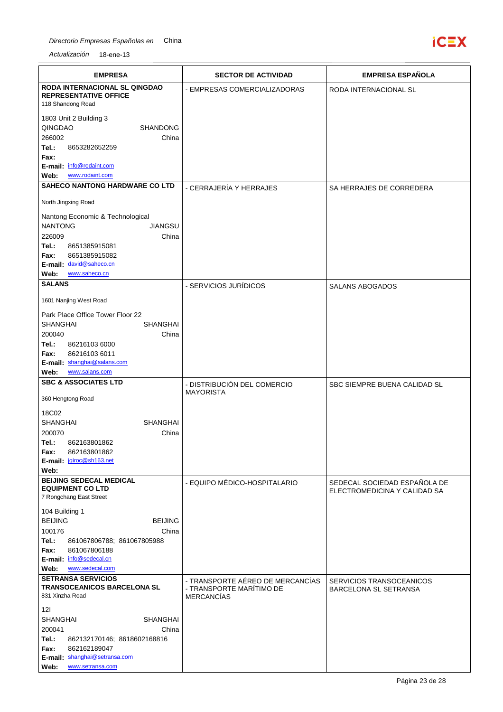

| <b>EMPRESA</b>                                                                     | <b>SECTOR DE ACTIVIDAD</b>                                                        | <b>EMPRESA ESPAÑOLA</b>                                  |
|------------------------------------------------------------------------------------|-----------------------------------------------------------------------------------|----------------------------------------------------------|
| <b>RODA INTERNACIONAL SL QINGDAO</b>                                               | - EMPRESAS COMERCIALIZADORAS                                                      | RODA INTERNACIONAL SL                                    |
| <b>REPRESENTATIVE OFFICE</b><br>118 Shandong Road                                  |                                                                                   |                                                          |
| 1803 Unit 2 Building 3                                                             |                                                                                   |                                                          |
| QINGDAO<br><b>SHANDONG</b>                                                         |                                                                                   |                                                          |
| 266002<br>China                                                                    |                                                                                   |                                                          |
| Tel.:<br>8653282652259<br>Fax:                                                     |                                                                                   |                                                          |
| E-mail: info@rodaint.com                                                           |                                                                                   |                                                          |
| www.rodaint.com<br>Web:                                                            |                                                                                   |                                                          |
| <b>SAHECO NANTONG HARDWARE CO LTD</b>                                              | - CERRAJERÍA Y HERRAJES                                                           | SA HERRAJES DE CORREDERA                                 |
| North Jingxing Road                                                                |                                                                                   |                                                          |
| Nantong Economic & Technological                                                   |                                                                                   |                                                          |
| <b>NANTONG</b><br><b>JIANGSU</b>                                                   |                                                                                   |                                                          |
| 226009<br>China<br>Tel.:<br>8651385915081                                          |                                                                                   |                                                          |
| 8651385915082<br>Fax:                                                              |                                                                                   |                                                          |
| E-mail: david@saheco.cn                                                            |                                                                                   |                                                          |
| www.saheco.cn<br>Web:                                                              |                                                                                   |                                                          |
| <b>SALANS</b>                                                                      | - SERVICIOS JURÍDICOS                                                             | <b>SALANS ABOGADOS</b>                                   |
| 1601 Nanjing West Road                                                             |                                                                                   |                                                          |
| Park Place Office Tower Floor 22                                                   |                                                                                   |                                                          |
| <b>SHANGHAI</b><br>SHANGHAI<br>200040<br>China                                     |                                                                                   |                                                          |
| Tel.:<br>86216103 6000                                                             |                                                                                   |                                                          |
| 86216103 6011<br>Fax:                                                              |                                                                                   |                                                          |
| E-mail: shanghai@salans.com                                                        |                                                                                   |                                                          |
| www.salans.com<br>Web:<br><b>SBC &amp; ASSOCIATES LTD</b>                          | - DISTRIBUCIÓN DEL COMERCIO                                                       | SBC SIEMPRE BUENA CALIDAD SL                             |
| 360 Hengtong Road                                                                  | <b>MAYORISTA</b>                                                                  |                                                          |
|                                                                                    |                                                                                   |                                                          |
| 18C02<br><b>SHANGHAI</b><br><b>SHANGHAI</b>                                        |                                                                                   |                                                          |
| 200070<br>China                                                                    |                                                                                   |                                                          |
| Tel.:<br>862163801862                                                              |                                                                                   |                                                          |
| 862163801862<br>Fax:<br>E-mail: jgiroc@sh163.net                                   |                                                                                   |                                                          |
| Web:                                                                               |                                                                                   |                                                          |
| <b>BEIJING SEDECAL MEDICAL</b>                                                     | - EQUIPO MÉDICO-HOSPITALARIO                                                      | SEDECAL SOCIEDAD ESPAÑOLA DE                             |
| <b>EQUIPMENT CO LTD</b><br>7 Rongchang East Street                                 |                                                                                   | ELECTROMEDICINA Y CALIDAD SA                             |
| 104 Building 1                                                                     |                                                                                   |                                                          |
| <b>BEIJING</b><br><b>BEIJING</b>                                                   |                                                                                   |                                                          |
| 100176<br>China                                                                    |                                                                                   |                                                          |
| Tel.:<br>861067806788; 861067805988                                                |                                                                                   |                                                          |
| Fax:<br>861067806188<br>E-mail: info@sedecal.cn                                    |                                                                                   |                                                          |
| www.sedecal.com<br>Web:                                                            |                                                                                   |                                                          |
| <b>SETRANSA SERVICIOS</b><br><b>TRANSOCEANICOS BARCELONA SL</b><br>831 Xinzha Road | - TRANSPORTE AÉREO DE MERCANCÍAS<br>- TRANSPORTE MARÍTIMO DE<br><b>MERCANCÍAS</b> | SERVICIOS TRANSOCEANICOS<br><b>BARCELONA SL SETRANSA</b> |
| 121                                                                                |                                                                                   |                                                          |
| <b>SHANGHAI</b><br>SHANGHAI                                                        |                                                                                   |                                                          |
| 200041<br>China<br>Tel.:<br>862132170146; 8618602168816                            |                                                                                   |                                                          |
| Fax:<br>862162189047                                                               |                                                                                   |                                                          |
| E-mail: shanghai@setransa.com                                                      |                                                                                   |                                                          |
| Web:<br>www.setransa.com                                                           |                                                                                   |                                                          |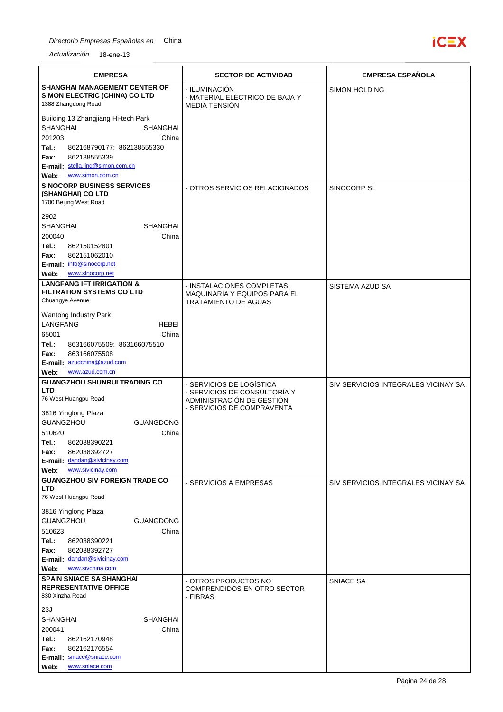

| <b>EMPRESA</b>                                                                   | <b>SECTOR DE ACTIVIDAD</b>                               | <b>EMPRESA ESPAÑOLA</b>             |
|----------------------------------------------------------------------------------|----------------------------------------------------------|-------------------------------------|
| <b>SHANGHAI MANAGEMENT CENTER OF</b><br>SIMON ELECTRIC (CHINA) CO LTD            | - ILUMINACIÓN                                            | <b>SIMON HOLDING</b>                |
| 1388 Zhangdong Road                                                              | - MATERIAL ELÉCTRICO DE BAJA Y<br><b>MEDIA TENSIÓN</b>   |                                     |
| Building 13 Zhangjiang Hi-tech Park                                              |                                                          |                                     |
| <b>SHANGHAI</b><br>SHANGHAI<br>201203<br>China                                   |                                                          |                                     |
| Tel.:<br>862168790177; 862138555330                                              |                                                          |                                     |
| 862138555339<br>Fax:<br>E-mail: stella.ling@simon.com.cn                         |                                                          |                                     |
| Web:<br>www.simon.com.cn                                                         |                                                          |                                     |
| <b>SINOCORP BUSINESS SERVICES</b><br>(SHANGHAI) CO LTD<br>1700 Beijing West Road | - OTROS SERVICIOS RELACIONADOS                           | SINOCORP SL                         |
| 2902                                                                             |                                                          |                                     |
| <b>SHANGHAI</b><br><b>SHANGHAI</b>                                               |                                                          |                                     |
| 200040<br>China<br>Tel.:<br>862150152801                                         |                                                          |                                     |
| 862151062010<br>Fax:                                                             |                                                          |                                     |
| E-mail: info@sinocorp.net<br>www.sinocorp.net<br>Web:                            |                                                          |                                     |
| <b>LANGFANG IFT IRRIGATION &amp;</b>                                             | - INSTALACIONES COMPLETAS,                               | SISTEMA AZUD SA                     |
| <b>FILTRATION SYSTEMS CO LTD</b>                                                 | <b>MAQUINARIA Y EQUIPOS PARA EL</b>                      |                                     |
| Chuangye Avenue                                                                  | <b>TRATAMIENTO DE AGUAS</b>                              |                                     |
| Wantong Industry Park<br><b>LANGFANG</b><br>HEBEI                                |                                                          |                                     |
| 65001<br>China                                                                   |                                                          |                                     |
| Tel.:<br>863166075509; 863166075510                                              |                                                          |                                     |
| 863166075508<br>Fax:<br>E-mail: azudchina@azud.com                               |                                                          |                                     |
| www.azud.com.cn<br>Web:                                                          |                                                          |                                     |
| <b>GUANGZHOU SHUNRUI TRADING CO</b><br><b>LTD</b>                                | - SERVICIOS DE LOGÍSTICA<br>- SERVICIOS DE CONSULTORÍA Y | SIV SERVICIOS INTEGRALES VICINAY SA |
| 76 West Huangpu Road                                                             | ADMINISTRACIÓN DE GESTIÓN<br>- SERVICIOS DE COMPRAVENTA  |                                     |
| 3816 Yinglong Plaza                                                              |                                                          |                                     |
| GUANGZHOU<br><b>GUANGDONG</b><br>510620<br>China                                 |                                                          |                                     |
| 862038390221<br>Tel.:                                                            |                                                          |                                     |
| 862038392727<br>Fax:<br>E-mail: dandan@sivicinay.com                             |                                                          |                                     |
| www.sivicinay.com<br>Web:                                                        |                                                          |                                     |
| <b>GUANGZHOU SIV FOREIGN TRADE CO</b>                                            | - SERVICIOS A EMPRESAS                                   | SIV SERVICIOS INTEGRALES VICINAY SA |
| <b>LTD</b><br>76 West Huangpu Road                                               |                                                          |                                     |
| 3816 Yinglong Plaza                                                              |                                                          |                                     |
| <b>GUANGZHOU</b><br><b>GUANGDONG</b><br>China<br>510623                          |                                                          |                                     |
| Tel.:<br>862038390221                                                            |                                                          |                                     |
| 862038392727<br>Fax:                                                             |                                                          |                                     |
| E-mail: dandan@sivicinay.com<br>www.sivchina.com<br>Web:                         |                                                          |                                     |
| <b>SPAIN SNIACE SA SHANGHAI</b>                                                  | - OTROS PRODUCTOS NO                                     | SNIACE SA                           |
| <b>REPRESENTATIVE OFFICE</b><br>830 Xinzha Road                                  | <b>COMPRENDIDOS EN OTRO SECTOR</b><br>- FIBRAS           |                                     |
| 23J                                                                              |                                                          |                                     |
| <b>SHANGHAI</b><br><b>SHANGHAI</b><br>200041<br>China                            |                                                          |                                     |
| Tel.:<br>862162170948                                                            |                                                          |                                     |
| 862162176554<br>Fax:                                                             |                                                          |                                     |
| E-mail: sniace@sniace.com<br>www.sniace.com<br>Web:                              |                                                          |                                     |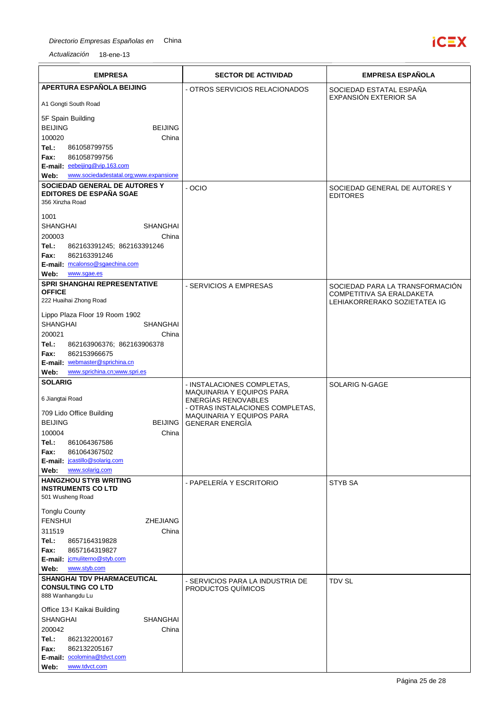

| <b>EMPRESA</b>                                                                  | <b>SECTOR DE ACTIVIDAD</b>                                     | <b>EMPRESA ESPAÑOLA</b>                                   |
|---------------------------------------------------------------------------------|----------------------------------------------------------------|-----------------------------------------------------------|
| APERTURA ESPAÑOLA BEIJING                                                       | - OTROS SERVICIOS RELACIONADOS                                 | SOCIEDAD ESTATAL ESPAÑA                                   |
| A1 Gongti South Road                                                            |                                                                | EXPANSIÓN EXTERIOR SA                                     |
| 5F Spain Building                                                               |                                                                |                                                           |
| <b>BEIJING</b><br><b>BEIJING</b>                                                |                                                                |                                                           |
| 100020<br>China<br>Tel.:<br>861058799755                                        |                                                                |                                                           |
| 861058799756<br>Fax:                                                            |                                                                |                                                           |
| E-mail: eebeijing@vip.163.com<br>www.sociedadestatal.org;www.expansione<br>Web: |                                                                |                                                           |
| SOCIEDAD GENERAL DE AUTORES Y                                                   | $-OCIO$                                                        | SOCIEDAD GENERAL DE AUTORES Y                             |
| <b>EDITORES DE ESPAÑA SGAE</b>                                                  |                                                                | <b>EDITORES</b>                                           |
| 356 Xinzha Road                                                                 |                                                                |                                                           |
| 1001<br>SHANGHAI<br><b>SHANGHAI</b>                                             |                                                                |                                                           |
| 200003<br>China                                                                 |                                                                |                                                           |
| Tel.:<br>862163391245; 862163391246                                             |                                                                |                                                           |
| 862163391246<br>Fax:<br>E-mail: mcalonso@sgaechina.com                          |                                                                |                                                           |
| Web:<br>www.sgae.es                                                             |                                                                |                                                           |
| SPRI SHANGHAI REPRESENTATIVE                                                    | - SERVICIOS A EMPRESAS                                         | SOCIEDAD PARA LA TRANSFORMACIÓN                           |
| <b>OFFICE</b><br>222 Huaihai Zhong Road                                         |                                                                | COMPETITIVA SA ERALDAKETA<br>LEHIAKORRERAKO SOZIETATEA IG |
| Lippo Plaza Floor 19 Room 1902                                                  |                                                                |                                                           |
| SHANGHAI<br><b>SHANGHAI</b>                                                     |                                                                |                                                           |
| 200021<br>China                                                                 |                                                                |                                                           |
| Tel.:<br>862163906376; 862163906378<br>862153966675                             |                                                                |                                                           |
| Fax:<br>E-mail: webmaster@sprichina.cn                                          |                                                                |                                                           |
| www.sprichina.cn;www.spri.es<br>Web:                                            |                                                                |                                                           |
| <b>SOLARIG</b>                                                                  | - INSTALACIONES COMPLETAS,<br><b>MAQUINARIA Y EQUIPOS PARA</b> | SOLARIG N-GAGE                                            |
| 6 Jiangtai Road                                                                 | ENERGÍAS RENOVABLES<br>- OTRAS INSTALACIONES COMPLETAS,        |                                                           |
| 709 Lido Office Building                                                        | MAQUINARIA Y EQUIPOS PARA                                      |                                                           |
| <b>BEIJING</b><br><b>BEIJING</b><br>100004<br>China                             | <b>GENERAR ENERGIA</b>                                         |                                                           |
| Tel.:<br>861064367586                                                           |                                                                |                                                           |
| Fax:<br>861064367502                                                            |                                                                |                                                           |
| E-mail: jcastillo@solarig.com<br>www.solarig.com<br>Web:                        |                                                                |                                                           |
| <b>HANGZHOU STYB WRITING</b>                                                    | - PAPELERÍA Y ESCRITORIO                                       | <b>STYB SA</b>                                            |
| <b>INSTRUMENTS CO LTD</b><br>501 Wusheng Road                                   |                                                                |                                                           |
| <b>Tonglu County</b>                                                            |                                                                |                                                           |
| <b>FENSHUI</b><br><b>ZHEJIANG</b>                                               |                                                                |                                                           |
| 311519<br>China<br>Tel.:<br>8657164319828                                       |                                                                |                                                           |
| 8657164319827<br>Fax:                                                           |                                                                |                                                           |
| E-mail: jcmuliterno@styb.com                                                    |                                                                |                                                           |
| www.styb.com<br>Web:<br>SHANGHAI TDV PHARMACEUTICAL                             |                                                                |                                                           |
| <b>CONSULTING CO LTD</b><br>888 Wanhangdu Lu                                    | - SERVICIOS PARA LA INDUSTRIA DE<br>PRODUCTOS QUÍMICOS         | <b>TDV SL</b>                                             |
| Office 13-I Kaikai Building                                                     |                                                                |                                                           |
| <b>SHANGHAI</b><br><b>SHANGHAI</b>                                              |                                                                |                                                           |
| 200042<br>China                                                                 |                                                                |                                                           |
| Tel.:<br>862132200167<br>862132205167<br>Fax:                                   |                                                                |                                                           |
| E-mail: ocolomina@tdvct.com                                                     |                                                                |                                                           |
| www.tdvct.com<br>Web:                                                           |                                                                |                                                           |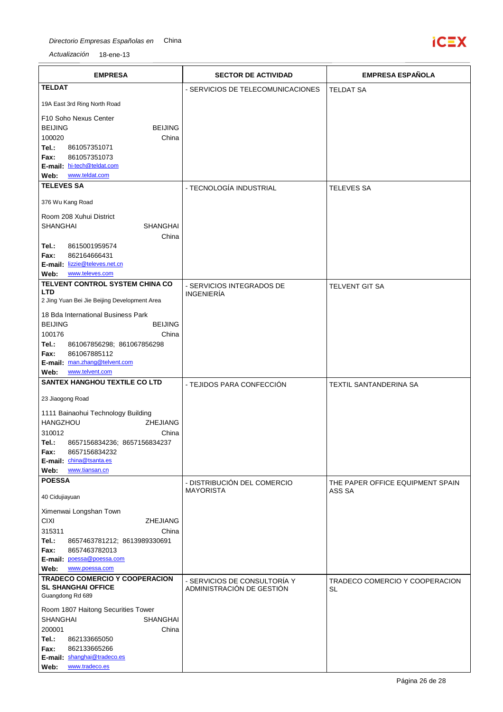

| <b>EMPRESA</b>                                                         | <b>SECTOR DE ACTIVIDAD</b>                                | <b>EMPRESA ESPAÑOLA</b>                    |
|------------------------------------------------------------------------|-----------------------------------------------------------|--------------------------------------------|
| <b>TELDAT</b>                                                          | - SERVICIOS DE TELECOMUNICACIONES                         | <b>TELDAT SA</b>                           |
| 19A East 3rd Ring North Road                                           |                                                           |                                            |
| F10 Soho Nexus Center                                                  |                                                           |                                            |
| <b>BEIJING</b><br><b>BEIJING</b>                                       |                                                           |                                            |
| 100020<br>China                                                        |                                                           |                                            |
| Tel.:<br>861057351071<br>861057351073<br>Fax:                          |                                                           |                                            |
| E-mail: hi-tech@teldat.com                                             |                                                           |                                            |
| www.teldat.com<br>Web:<br><b>TELEVES SA</b>                            |                                                           |                                            |
|                                                                        | - TECNOLOGÍA INDUSTRIAL                                   | <b>TELEVES SA</b>                          |
| 376 Wu Kang Road                                                       |                                                           |                                            |
| Room 208 Xuhui District                                                |                                                           |                                            |
| SHANGHAI<br><b>SHANGHAI</b><br>China                                   |                                                           |                                            |
| 8615001959574<br>Tel.:                                                 |                                                           |                                            |
| 862164666431<br>Fax:                                                   |                                                           |                                            |
| E-mail: lizzie@televes.net.cn<br>www.televes.com<br>Web:               |                                                           |                                            |
| TELVENT CONTROL SYSTEM CHINA CO                                        | - SERVICIOS INTEGRADOS DE                                 | <b>TELVENT GIT SA</b>                      |
| <b>LTD</b><br>2 Jing Yuan Bei Jie Beijing Development Area             | <b>INGENIERÍA</b>                                         |                                            |
|                                                                        |                                                           |                                            |
| 18 Bda International Business Park<br><b>BEIJING</b><br><b>BEIJING</b> |                                                           |                                            |
| 100176<br>China                                                        |                                                           |                                            |
| Tel.:<br>861067856298; 861067856298                                    |                                                           |                                            |
| 861067885112<br>Fax:<br>E-mail: man.zhang@telvent.com                  |                                                           |                                            |
| www.telvent.com<br>Web:                                                |                                                           |                                            |
| <b>SANTEX HANGHOU TEXTILE CO LTD</b>                                   | - TEJIDOS PARA CONFECCIÓN                                 | TEXTIL SANTANDERINA SA                     |
| 23 Jiaogong Road                                                       |                                                           |                                            |
| 1111 Bainaohui Technology Building                                     |                                                           |                                            |
| <b>HANGZHOU</b><br>ZHEJIANG                                            |                                                           |                                            |
| 310012<br>China<br>8657156834236; 8657156834237<br>Tel.:               |                                                           |                                            |
| Fax:<br>8657156834232                                                  |                                                           |                                            |
| E-mail: china@tsanta.es<br>www.tiansan.cn                              |                                                           |                                            |
| Web:<br><b>POESSA</b>                                                  |                                                           |                                            |
| 40 Cidujiayuan                                                         | - DISTRIBUCIÓN DEL COMERCIO<br><b>MAYORISTA</b>           | THE PAPER OFFICE EQUIPMENT SPAIN<br>ASS SA |
|                                                                        |                                                           |                                            |
| Ximenwai Longshan Town<br><b>CIXI</b><br><b>ZHEJIANG</b>               |                                                           |                                            |
| 315311<br>China                                                        |                                                           |                                            |
| Tel.:<br>8657463781212; 8613989330691                                  |                                                           |                                            |
| 8657463782013<br>Fax:<br>E-mail: poessa@poessa.com                     |                                                           |                                            |
| Web:<br>www.poessa.com                                                 |                                                           |                                            |
| <b>TRADECO COMERCIO Y COOPERACION</b><br><b>SL SHANGHAI OFFICE</b>     | - SERVICIOS DE CONSULTORÍA Y<br>ADMINISTRACIÓN DE GESTIÓN | TRADECO COMERCIO Y COOPERACION             |
| Guangdong Rd 689                                                       |                                                           | SL                                         |
| Room 1807 Haitong Securities Tower                                     |                                                           |                                            |
| <b>SHANGHAI</b><br><b>SHANGHAI</b>                                     |                                                           |                                            |
| 200001<br>China<br>Tel.:<br>862133665050                               |                                                           |                                            |
| 862133665266<br>Fax:                                                   |                                                           |                                            |
| E-mail: shanghai@tradeco.es                                            |                                                           |                                            |
| www.tradeco.es<br>Web:                                                 |                                                           |                                            |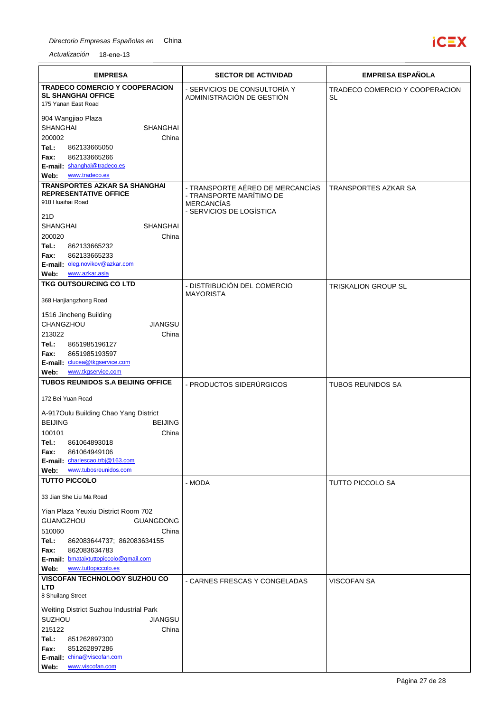

| <b>EMPRESA</b>                                                                                                                                                                                         | <b>SECTOR DE ACTIVIDAD</b>                                                | <b>EMPRESA ESPAÑOLA</b>                     |
|--------------------------------------------------------------------------------------------------------------------------------------------------------------------------------------------------------|---------------------------------------------------------------------------|---------------------------------------------|
| <b>TRADECO COMERCIO Y COOPERACION</b><br><b>SL SHANGHAI OFFICE</b><br>175 Yanan East Road                                                                                                              | - SERVICIOS DE CONSULTORÍA Y<br>ADMINISTRACIÓN DE GESTIÓN                 | TRADECO COMERCIO Y COOPERACION<br><b>SL</b> |
| 904 Wangjiao Plaza<br><b>SHANGHAI</b><br><b>SHANGHAI</b><br>200002<br>China<br>Tel.:<br>862133665050<br>862133665266<br>Fax:<br>E-mail: shanghai@tradeco.es<br>www.tradeco.es<br>Web:                  |                                                                           |                                             |
| <b>TRANSPORTES AZKAR SA SHANGHAI</b>                                                                                                                                                                   | - TRANSPORTE AÉREO DE MERCANCÍAS                                          | TRANSPORTES AZKAR SA                        |
| <b>REPRESENTATIVE OFFICE</b><br>918 Huaihai Road<br>21D<br><b>SHANGHAI</b><br>SHANGHAI                                                                                                                 | - TRANSPORTE MARÍTIMO DE<br><b>MERCANCÍAS</b><br>- SERVICIOS DE LOGÍSTICA |                                             |
| 200020<br>China<br>Tel.:<br>862133665232<br>862133665233<br>Fax:                                                                                                                                       |                                                                           |                                             |
| E-mail: oleg.novikov@azkar.com<br>www.azkar.asia<br>Web:                                                                                                                                               |                                                                           |                                             |
| TKG OUTSOURCING CO LTD                                                                                                                                                                                 | - DISTRIBUCIÓN DEL COMERCIO                                               | <b>TRISKALION GROUP SL</b>                  |
| 368 Hanjiangzhong Road                                                                                                                                                                                 | <b>MAYORISTA</b>                                                          |                                             |
| 1516 Jincheng Building<br>CHANGZHOU<br>JIANGSU<br>213022<br>China<br>Tel.:<br>8651985196127                                                                                                            |                                                                           |                                             |
| 8651985193597<br>Fax:<br>E-mail: clucea@tkgservice.com<br>www.tkgservice.com<br>Web:                                                                                                                   |                                                                           |                                             |
| <b>TUBOS REUNIDOS S.A BEIJING OFFICE</b>                                                                                                                                                               | - PRODUCTOS SIDERÚRGICOS                                                  | TUBOS REUNIDOS SA                           |
| 172 Bei Yuan Road                                                                                                                                                                                      |                                                                           |                                             |
| A-917Oulu Building Chao Yang District<br><b>BEIJING</b><br><b>BEIJING</b><br>100101<br>China<br>861064893018<br>Tel.:<br>Fax:<br>861064949106                                                          |                                                                           |                                             |
| E-mail: charlescao.trbj@163.com<br>www.tubosreunidos.com                                                                                                                                               |                                                                           |                                             |
| Web:<br><b>TUTTO PICCOLO</b>                                                                                                                                                                           | - MODA                                                                    | <b>TUTTO PICCOLO SA</b>                     |
| 33 Jian She Liu Ma Road                                                                                                                                                                                |                                                                           |                                             |
| Yian Plaza Yeuxiu District Room 702<br><b>GUANGZHOU</b><br><b>GUANGDONG</b><br>510060<br>China<br>Tel.:<br>862083644737; 862083634155<br>Fax:<br>862083634783<br>E-mail: bmataixtuttopiccolo@gmail.com |                                                                           |                                             |
| www.tuttopiccolo.es<br>Web:<br><b>VISCOFAN TECHNOLOGY SUZHOU CO</b>                                                                                                                                    |                                                                           |                                             |
| LTD<br>8 Shuilang Street                                                                                                                                                                               | - CARNES FRESCAS Y CONGELADAS                                             | <b>VISCOFAN SA</b>                          |
| Weiting District Suzhou Industrial Park<br><b>SUZHOU</b><br>JIANGSU<br>215122<br>China<br>Tel.:<br>851262897300<br>Fax:<br>851262897286<br>E-mail: china@viscofan.com<br>www.viscofan.com<br>Web:      |                                                                           |                                             |